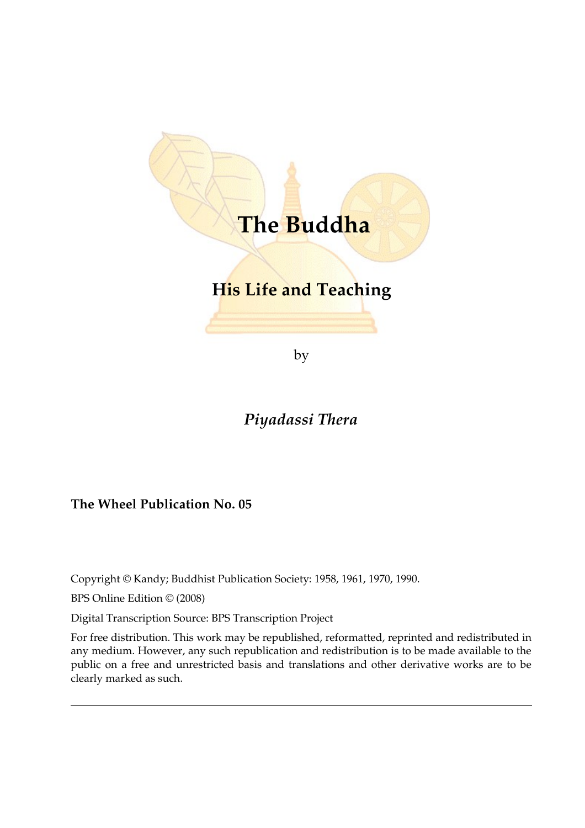

*Piyadassi Thera*

#### **The Wheel Publication No. 05**

Copyright © Kandy; Buddhist Publication Society: 1958, 1961, 1970, 1990.

BPS Online Edition © (2008)

Digital Transcription Source: BPS Transcription Project

For free distribution. This work may be republished, reformatted, reprinted and redistributed in any medium. However, any such republication and redistribution is to be made available to the public on a free and unrestricted basis and translations and other derivative works are to be clearly marked as such.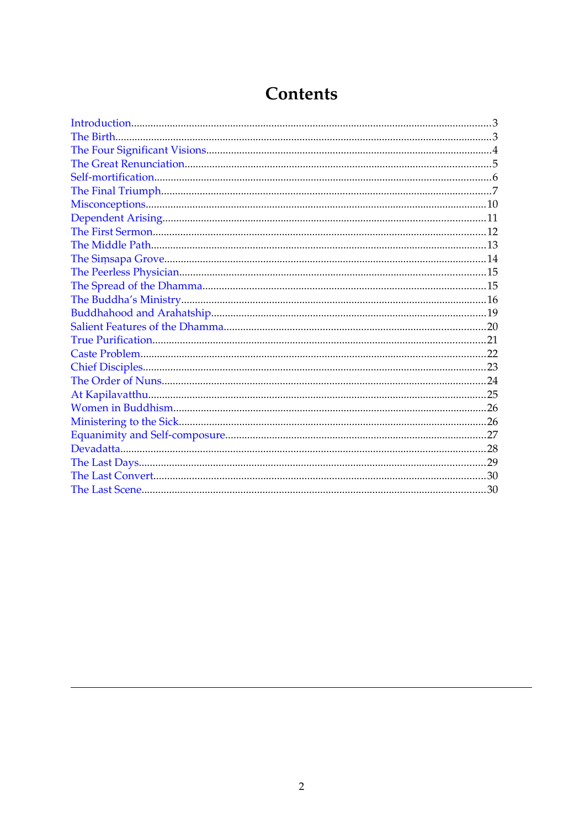# Contents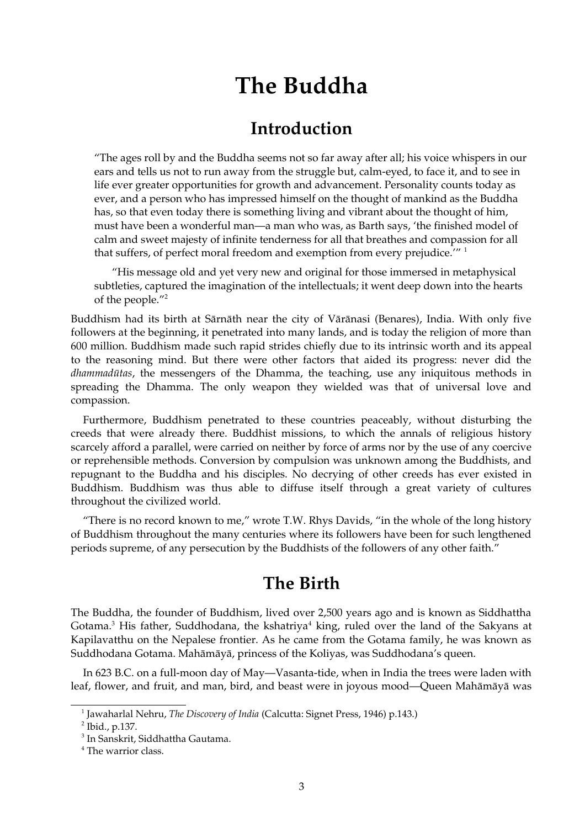# **The Buddha**

## <span id="page-2-1"></span>**Introduction**

"The ages roll by and the Buddha seems not so far away after all; his voice whispers in our ears and tells us not to run away from the struggle but, calm-eyed, to face it, and to see in life ever greater opportunities for growth and advancement. Personality counts today as ever, and a person who has impressed himself on the thought of mankind as the Buddha has, so that even today there is something living and vibrant about the thought of him, must have been a wonderful man—a man who was, as Barth says, 'the finished model of calm and sweet majesty of infinite tenderness for all that breathes and compassion for all that suffers, of perfect moral freedom and exemption from every prejudice.'" [1](#page-2-2)

"His message old and yet very new and original for those immersed in metaphysical subtleties, captured the imagination of the intellectuals; it went deep down into the hearts of the people."[2](#page-2-3)

Buddhism had its birth at Sārnāth near the city of Vārānasi (Benares), India. With only five followers at the beginning, it penetrated into many lands, and is today the religion of more than 600 million. Buddhism made such rapid strides chiefly due to its intrinsic worth and its appeal to the reasoning mind. But there were other factors that aided its progress: never did the *dhammadūtas*, the messengers of the Dhamma, the teaching, use any iniquitous methods in spreading the Dhamma. The only weapon they wielded was that of universal love and compassion.

Furthermore, Buddhism penetrated to these countries peaceably, without disturbing the creeds that were already there. Buddhist missions, to which the annals of religious history scarcely afford a parallel, were carried on neither by force of arms nor by the use of any coercive or reprehensible methods. Conversion by compulsion was unknown among the Buddhists, and repugnant to the Buddha and his disciples. No decrying of other creeds has ever existed in Buddhism. Buddhism was thus able to diffuse itself through a great variety of cultures throughout the civilized world.

"There is no record known to me," wrote T.W. Rhys Davids, "in the whole of the long history of Buddhism throughout the many centuries where its followers have been for such lengthened periods supreme, of any persecution by the Buddhists of the followers of any other faith."

## <span id="page-2-0"></span>**The Birth**

The Buddha, the founder of Buddhism, lived over 2,500 years ago and is known as Siddhattha Gotama.<sup>[3](#page-2-4)</sup> His father, Suddhodana, the kshatriya<sup>[4](#page-2-5)</sup> king, ruled over the land of the Sakyans at Kapilavatthu on the Nepalese frontier. As he came from the Gotama family, he was known as Suddhodana Gotama. Mahāmāyā, princess of the Koliyas, was Suddhodana's queen.

In 623 B.C. on a full-moon day of May—Vasanta-tide, when in India the trees were laden with leaf, flower, and fruit, and man, bird, and beast were in joyous mood—Queen Mahāmāyā was

<span id="page-2-2"></span><sup>&</sup>lt;sup>1</sup> Jawaharlal Nehru, *The Discovery of India* (Calcutta: Signet Press, 1946) p.143.)

<span id="page-2-3"></span><sup>2</sup> Ibid., p.137.

<span id="page-2-4"></span><sup>3</sup> In Sanskrit, Siddhattha Gautama.

<span id="page-2-5"></span><sup>4</sup> The warrior class.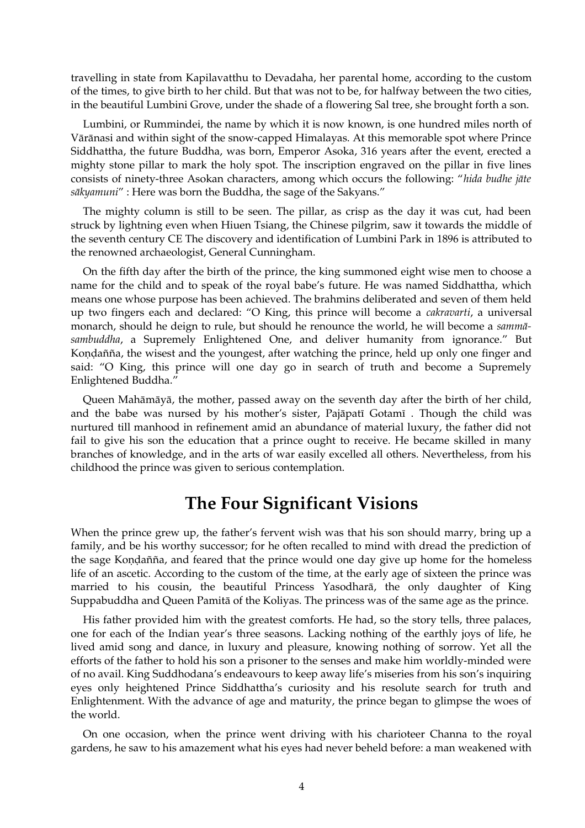travelling in state from Kapilavatthu to Devadaha, her parental home, according to the custom of the times, to give birth to her child. But that was not to be, for halfway between the two cities, in the beautiful Lumbini Grove, under the shade of a flowering Sal tree, she brought forth a son.

Lumbini, or Rummindei, the name by which it is now known, is one hundred miles north of Vārānasi and within sight of the snow-capped Himalayas. At this memorable spot where Prince Siddhattha, the future Buddha, was born, Emperor Asoka, 316 years after the event, erected a mighty stone pillar to mark the holy spot. The inscription engraved on the pillar in five lines consists of ninety-three Asokan characters, among which occurs the following: "*hida budhe jāte sākyamuni*" : Here was born the Buddha, the sage of the Sakyans."

The mighty column is still to be seen. The pillar, as crisp as the day it was cut, had been struck by lightning even when Hiuen Tsiang, the Chinese pilgrim, saw it towards the middle of the seventh century CE The discovery and identification of Lumbini Park in 1896 is attributed to the renowned archaeologist, General Cunningham.

On the fifth day after the birth of the prince, the king summoned eight wise men to choose a name for the child and to speak of the royal babe's future. He was named Siddhattha, which means one whose purpose has been achieved. The brahmins deliberated and seven of them held up two fingers each and declared: "O King, this prince will become a *cakravarti*, a universal monarch, should he deign to rule, but should he renounce the world, he will become a *sammāsambuddha*, a Supremely Enlightened One, and deliver humanity from ignorance." But Koṇḍañña, the wisest and the youngest, after watching the prince, held up only one finger and said: "O King, this prince will one day go in search of truth and become a Supremely Enlightened Buddha."

Queen Mahāmāyā, the mother, passed away on the seventh day after the birth of her child, and the babe was nursed by his mother's sister, Pajāpatī Gotamī . Though the child was nurtured till manhood in refinement amid an abundance of material luxury, the father did not fail to give his son the education that a prince ought to receive. He became skilled in many branches of knowledge, and in the arts of war easily excelled all others. Nevertheless, from his childhood the prince was given to serious contemplation.

## <span id="page-3-0"></span>**The Four Significant Visions**

When the prince grew up, the father's fervent wish was that his son should marry, bring up a family, and be his worthy successor; for he often recalled to mind with dread the prediction of the sage Koṇḍañña, and feared that the prince would one day give up home for the homeless life of an ascetic. According to the custom of the time, at the early age of sixteen the prince was married to his cousin, the beautiful Princess Yasodharā, the only daughter of King Suppabuddha and Queen Pamitā of the Koliyas. The princess was of the same age as the prince.

His father provided him with the greatest comforts. He had, so the story tells, three palaces, one for each of the Indian year's three seasons. Lacking nothing of the earthly joys of life, he lived amid song and dance, in luxury and pleasure, knowing nothing of sorrow. Yet all the efforts of the father to hold his son a prisoner to the senses and make him worldly-minded were of no avail. King Suddhodana's endeavours to keep away life's miseries from his son's inquiring eyes only heightened Prince Siddhattha's curiosity and his resolute search for truth and Enlightenment. With the advance of age and maturity, the prince began to glimpse the woes of the world.

On one occasion, when the prince went driving with his charioteer Channa to the royal gardens, he saw to his amazement what his eyes had never beheld before: a man weakened with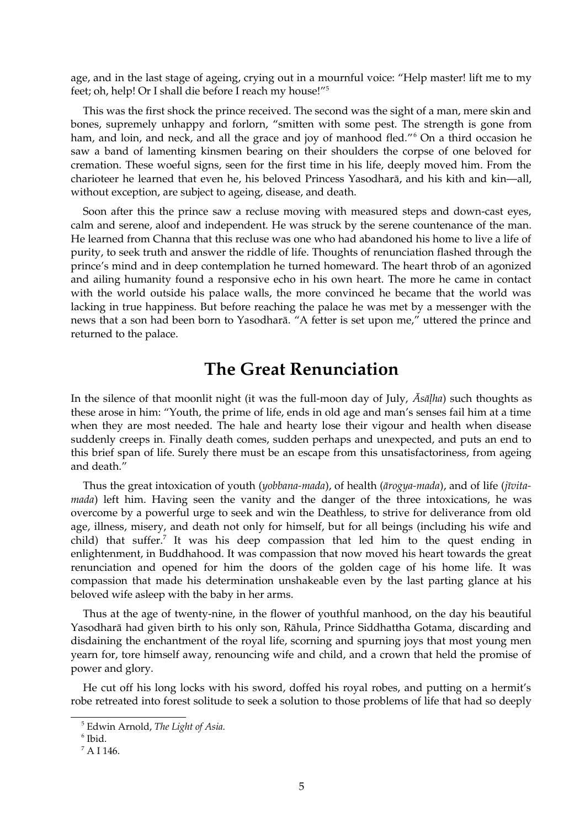age, and in the last stage of ageing, crying out in a mournful voice: "Help master! lift me to my feet; oh, help! Or I shall die before I reach my house!"[5](#page-4-1)

This was the first shock the prince received. The second was the sight of a man, mere skin and bones, supremely unhappy and forlorn, "smitten with some pest. The strength is gone from ham, and loin, and neck, and all the grace and joy of manhood fled."<sup>[6](#page-4-2)</sup> On a third occasion he saw a band of lamenting kinsmen bearing on their shoulders the corpse of one beloved for cremation. These woeful signs, seen for the first time in his life, deeply moved him. From the charioteer he learned that even he, his beloved Princess Yasodharā, and his kith and kin—all, without exception, are subject to ageing, disease, and death.

Soon after this the prince saw a recluse moving with measured steps and down-cast eyes, calm and serene, aloof and independent. He was struck by the serene countenance of the man. He learned from Channa that this recluse was one who had abandoned his home to live a life of purity, to seek truth and answer the riddle of life. Thoughts of renunciation flashed through the prince's mind and in deep contemplation he turned homeward. The heart throb of an agonized and ailing humanity found a responsive echo in his own heart. The more he came in contact with the world outside his palace walls, the more convinced he became that the world was lacking in true happiness. But before reaching the palace he was met by a messenger with the news that a son had been born to Yasodharā. "A fetter is set upon me," uttered the prince and returned to the palace.

#### <span id="page-4-0"></span>**The Great Renunciation**

In the silence of that moonlit night (it was the full-moon day of July, *Āsāḷha*) such thoughts as these arose in him: "Youth, the prime of life, ends in old age and man's senses fail him at a time when they are most needed. The hale and hearty lose their vigour and health when disease suddenly creeps in. Finally death comes, sudden perhaps and unexpected, and puts an end to this brief span of life. Surely there must be an escape from this unsatisfactoriness, from ageing and death."

Thus the great intoxication of youth (*yobbana-mada*), of health (*ārogya-mada*), and of life (*jīvitamada*) left him. Having seen the vanity and the danger of the three intoxications, he was overcome by a powerful urge to seek and win the Deathless, to strive for deliverance from old age, illness, misery, and death not only for himself, but for all beings (including his wife and child) that suffer.<sup>[7](#page-4-3)</sup> It was his deep compassion that led him to the quest ending in enlightenment, in Buddhahood. It was compassion that now moved his heart towards the great renunciation and opened for him the doors of the golden cage of his home life. It was compassion that made his determination unshakeable even by the last parting glance at his beloved wife asleep with the baby in her arms.

Thus at the age of twenty-nine, in the flower of youthful manhood, on the day his beautiful Yasodharā had given birth to his only son, Rāhula, Prince Siddhattha Gotama, discarding and disdaining the enchantment of the royal life, scorning and spurning joys that most young men yearn for, tore himself away, renouncing wife and child, and a crown that held the promise of power and glory.

He cut off his long locks with his sword, doffed his royal robes, and putting on a hermit's robe retreated into forest solitude to seek a solution to those problems of life that had so deeply

<span id="page-4-1"></span><sup>5</sup> Edwin Arnold, *The Light of Asia.*

<span id="page-4-2"></span> $6$  Ibid.

<span id="page-4-3"></span> $\rm ^7$  A I 146.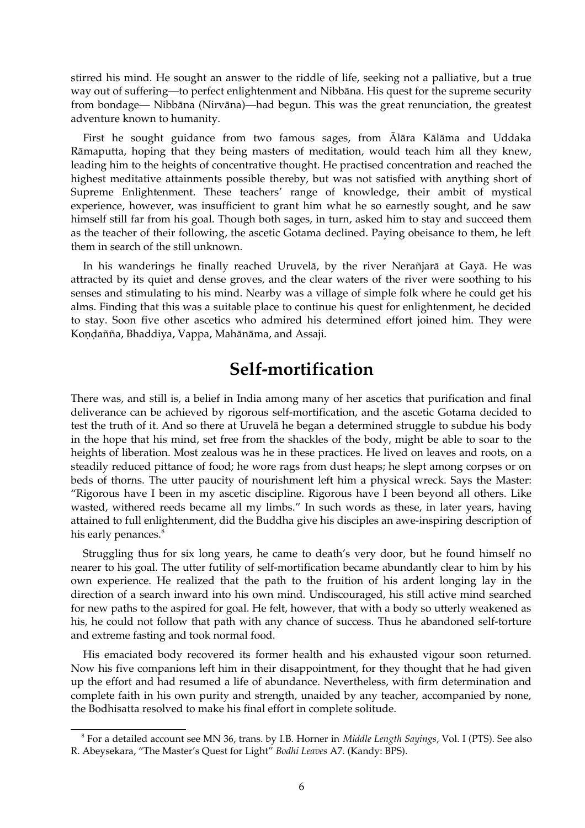stirred his mind. He sought an answer to the riddle of life, seeking not a palliative, but a true way out of suffering—to perfect enlightenment and Nibbāna. His quest for the supreme security from bondage— Nibbāna (Nirvāna)—had begun. This was the great renunciation, the greatest adventure known to humanity.

First he sought guidance from two famous sages, from Ālāra Kālāma and Uddaka Rāmaputta, hoping that they being masters of meditation, would teach him all they knew, leading him to the heights of concentrative thought. He practised concentration and reached the highest meditative attainments possible thereby, but was not satisfied with anything short of Supreme Enlightenment. These teachers' range of knowledge, their ambit of mystical experience, however, was insufficient to grant him what he so earnestly sought, and he saw himself still far from his goal. Though both sages, in turn, asked him to stay and succeed them as the teacher of their following, the ascetic Gotama declined. Paying obeisance to them, he left them in search of the still unknown.

In his wanderings he finally reached Uruvelā, by the river Nerañjarā at Gayā. He was attracted by its quiet and dense groves, and the clear waters of the river were soothing to his senses and stimulating to his mind. Nearby was a village of simple folk where he could get his alms. Finding that this was a suitable place to continue his quest for enlightenment, he decided to stay. Soon five other ascetics who admired his determined effort joined him. They were Koṇḍañña, Bhaddiya, Vappa, Mahānāma, and Assaji.

#### <span id="page-5-0"></span>**Self-mortification**

There was, and still is, a belief in India among many of her ascetics that purification and final deliverance can be achieved by rigorous self-mortification, and the ascetic Gotama decided to test the truth of it. And so there at Uruvelā he began a determined struggle to subdue his body in the hope that his mind, set free from the shackles of the body, might be able to soar to the heights of liberation. Most zealous was he in these practices. He lived on leaves and roots, on a steadily reduced pittance of food; he wore rags from dust heaps; he slept among corpses or on beds of thorns. The utter paucity of nourishment left him a physical wreck. Says the Master: "Rigorous have I been in my ascetic discipline. Rigorous have I been beyond all others. Like wasted, withered reeds became all my limbs." In such words as these, in later years, having attained to full enlightenment, did the Buddha give his disciples an awe-inspiring description of his early penances.<sup>[8](#page-5-1)</sup>

Struggling thus for six long years, he came to death's very door, but he found himself no nearer to his goal. The utter futility of self-mortification became abundantly clear to him by his own experience. He realized that the path to the fruition of his ardent longing lay in the direction of a search inward into his own mind. Undiscouraged, his still active mind searched for new paths to the aspired for goal. He felt, however, that with a body so utterly weakened as his, he could not follow that path with any chance of success. Thus he abandoned self-torture and extreme fasting and took normal food.

His emaciated body recovered its former health and his exhausted vigour soon returned. Now his five companions left him in their disappointment, for they thought that he had given up the effort and had resumed a life of abundance. Nevertheless, with firm determination and complete faith in his own purity and strength, unaided by any teacher, accompanied by none, the Bodhisatta resolved to make his final effort in complete solitude.

<span id="page-5-1"></span><sup>8</sup> For a detailed account see MN 36, trans. by I.B. Horner in *Middle Length Sayings*, Vol. I (PTS). See also R. Abeysekara, "The Master's Quest for Light" *Bodhi Leaves* A7. (Kandy: BPS).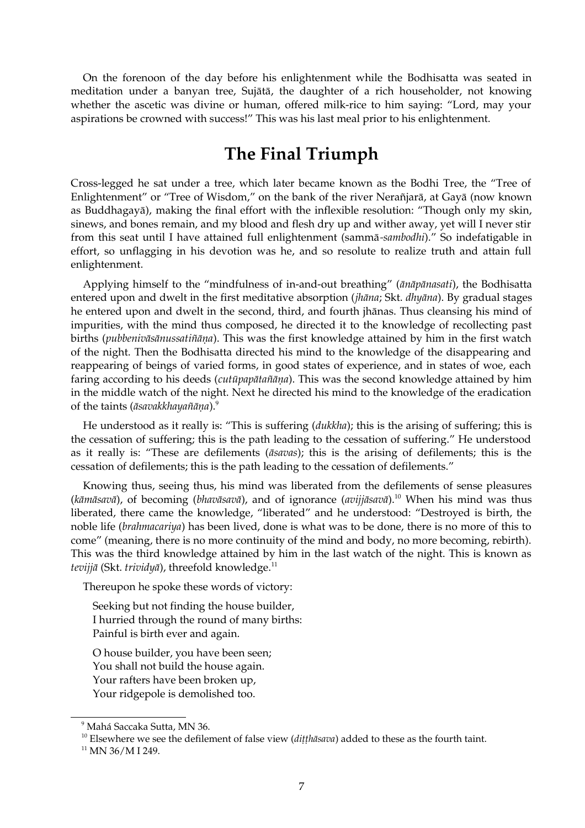On the forenoon of the day before his enlightenment while the Bodhisatta was seated in meditation under a banyan tree, Sujātā, the daughter of a rich householder, not knowing whether the ascetic was divine or human, offered milk-rice to him saying: "Lord, may your aspirations be crowned with success!" This was his last meal prior to his enlightenment.

#### <span id="page-6-0"></span>**The Final Triumph**

Cross-legged he sat under a tree, which later became known as the Bodhi Tree, the "Tree of Enlightenment" or "Tree of Wisdom," on the bank of the river Nerañjarā, at Gayā (now known as Buddhagayā), making the final effort with the inflexible resolution: "Though only my skin, sinews, and bones remain, and my blood and flesh dry up and wither away, yet will I never stir from this seat until I have attained full enlightenment (sammā*-sambodhi*)." So indefatigable in effort, so unflagging in his devotion was he, and so resolute to realize truth and attain full enlightenment.

Applying himself to the "mindfulness of in-and-out breathing" (*ānāpānasati*), the Bodhisatta entered upon and dwelt in the first meditative absorption (*jhāna*; Skt. *dhyāna*). By gradual stages he entered upon and dwelt in the second, third, and fourth jhānas. Thus cleansing his mind of impurities, with the mind thus composed, he directed it to the knowledge of recollecting past births (*pubbenivāsānussatiñāṇa*). This was the first knowledge attained by him in the first watch of the night. Then the Bodhisatta directed his mind to the knowledge of the disappearing and reappearing of beings of varied forms, in good states of experience, and in states of woe, each faring according to his deeds (*cutūpapātañāṇa*). This was the second knowledge attained by him in the middle watch of the night. Next he directed his mind to the knowledge of the eradication of the taints (*āsavakkhayañāṇa*).[9](#page-6-1)

He understood as it really is: "This is suffering (*dukkha*); this is the arising of suffering; this is the cessation of suffering; this is the path leading to the cessation of suffering." He understood as it really is: "These are defilements (*āsavas*); this is the arising of defilements; this is the cessation of defilements; this is the path leading to the cessation of defilements."

Knowing thus, seeing thus, his mind was liberated from the defilements of sense pleasures (*kāmāsavā*), of becoming (*bhavāsavā*), and of ignorance (*avijjāsavā*).[10](#page-6-2) When his mind was thus liberated, there came the knowledge, "liberated" and he understood: "Destroyed is birth, the noble life (*brahmacariya*) has been lived, done is what was to be done, there is no more of this to come" (meaning, there is no more continuity of the mind and body, no more becoming, rebirth). This was the third knowledge attained by him in the last watch of the night. This is known as *tevijjā* (Skt. *trividyā*), threefold knowledge.[11](#page-6-3)

Thereupon he spoke these words of victory:

Seeking but not finding the house builder, I hurried through the round of many births: Painful is birth ever and again.

O house builder, you have been seen; You shall not build the house again. Your rafters have been broken up, Your ridgepole is demolished too.

<span id="page-6-1"></span><sup>9</sup> Mahá Saccaka Sutta, MN 36.

<span id="page-6-2"></span><sup>&</sup>lt;sup>10</sup> Elsewhere we see the defilement of false view (*di*tthāsava) added to these as the fourth taint.

<span id="page-6-3"></span> $11$  MN 36/M I 249.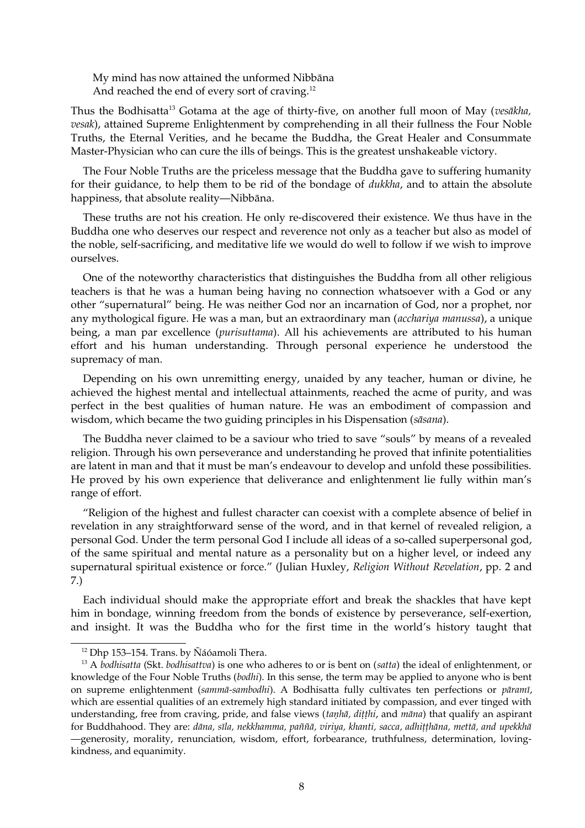My mind has now attained the unformed Nibbāna And reached the end of every sort of craving.<sup>[12](#page-7-0)</sup>

Thus the Bodhisatta<sup>[13](#page-7-1)</sup> Gotama at the age of thirty-five, on another full moon of May (*vesākha*, *vesak*), attained Supreme Enlightenment by comprehending in all their fullness the Four Noble Truths, the Eternal Verities, and he became the Buddha, the Great Healer and Consummate Master-Physician who can cure the ills of beings. This is the greatest unshakeable victory.

The Four Noble Truths are the priceless message that the Buddha gave to suffering humanity for their guidance, to help them to be rid of the bondage of *dukkha*, and to attain the absolute happiness, that absolute reality—Nibbāna.

These truths are not his creation. He only re-discovered their existence. We thus have in the Buddha one who deserves our respect and reverence not only as a teacher but also as model of the noble, self-sacrificing, and meditative life we would do well to follow if we wish to improve ourselves.

One of the noteworthy characteristics that distinguishes the Buddha from all other religious teachers is that he was a human being having no connection whatsoever with a God or any other "supernatural" being. He was neither God nor an incarnation of God, nor a prophet, nor any mythological figure. He was a man, but an extraordinary man (*acchariya manussa*), a unique being, a man par excellence (*purisuttama*). All his achievements are attributed to his human effort and his human understanding. Through personal experience he understood the supremacy of man.

Depending on his own unremitting energy, unaided by any teacher, human or divine, he achieved the highest mental and intellectual attainments, reached the acme of purity, and was perfect in the best qualities of human nature. He was an embodiment of compassion and wisdom, which became the two guiding principles in his Dispensation (*sāsana*).

The Buddha never claimed to be a saviour who tried to save "souls" by means of a revealed religion. Through his own perseverance and understanding he proved that infinite potentialities are latent in man and that it must be man's endeavour to develop and unfold these possibilities. He proved by his own experience that deliverance and enlightenment lie fully within man's range of effort.

"Religion of the highest and fullest character can coexist with a complete absence of belief in revelation in any straightforward sense of the word, and in that kernel of revealed religion, a personal God. Under the term personal God I include all ideas of a so-called superpersonal god, of the same spiritual and mental nature as a personality but on a higher level, or indeed any supernatural spiritual existence or force." (Julian Huxley, *Religion Without Revelation*, pp. 2 and 7.)

Each individual should make the appropriate effort and break the shackles that have kept him in bondage, winning freedom from the bonds of existence by perseverance, self-exertion, and insight. It was the Buddha who for the first time in the world's history taught that

<span id="page-7-1"></span><span id="page-7-0"></span><sup>&</sup>lt;sup>12</sup> Dhp 153-154. Trans. by Ñáóamoli Thera.

<sup>13</sup> A *bodhisatta* (Skt. *bodhisattva*) is one who adheres to or is bent on (*satta*) the ideal of enlightenment, or knowledge of the Four Noble Truths (*bodhi*). In this sense, the term may be applied to anyone who is bent on supreme enlightenment (*sammā-sambodhi*). A Bodhisatta fully cultivates ten perfections or *pāramī*, which are essential qualities of an extremely high standard initiated by compassion, and ever tinged with understanding, free from craving, pride, and false views (*taṇhā, diṭṭhi*, and *māna*) that qualify an aspirant for Buddhahood. They are: *dāna, sīla, nekkhamma, paññā, viriya, khanti, sacca, adhiṭṭhāna, mettā, and upekkhā* —generosity, morality, renunciation, wisdom, effort, forbearance, truthfulness, determination, lovingkindness, and equanimity.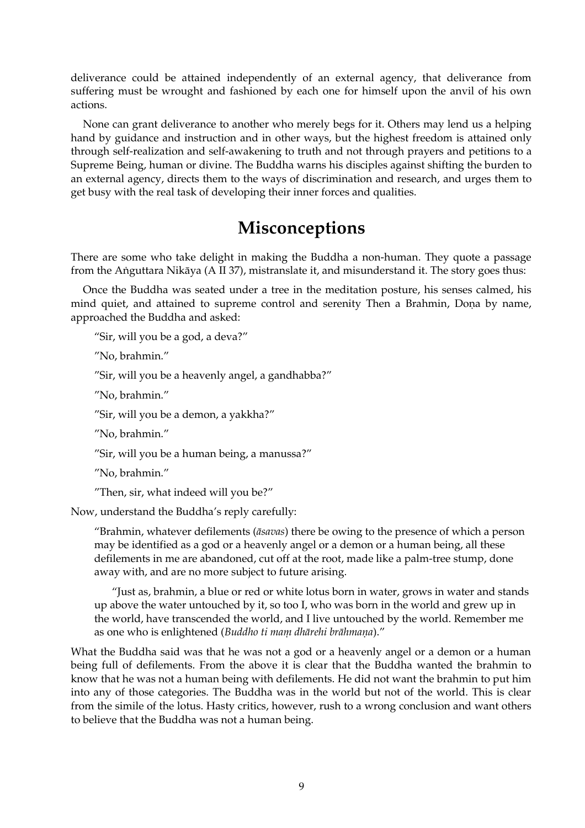deliverance could be attained independently of an external agency, that deliverance from suffering must be wrought and fashioned by each one for himself upon the anvil of his own actions.

None can grant deliverance to another who merely begs for it. Others may lend us a helping hand by guidance and instruction and in other ways, but the highest freedom is attained only through self-realization and self-awakening to truth and not through prayers and petitions to a Supreme Being, human or divine. The Buddha warns his disciples against shifting the burden to an external agency, directs them to the ways of discrimination and research, and urges them to get busy with the real task of developing their inner forces and qualities.

## <span id="page-8-0"></span>**Misconceptions**

There are some who take delight in making the Buddha a non-human. They quote a passage from the Aṅguttara Nikāya (A II 37), mistranslate it, and misunderstand it. The story goes thus:

Once the Buddha was seated under a tree in the meditation posture, his senses calmed, his mind quiet, and attained to supreme control and serenity Then a Brahmin, Doṇa by name, approached the Buddha and asked:

"Sir, will you be a god, a deva?"

"No, brahmin."

"Sir, will you be a heavenly angel, a gandhabba?"

"No, brahmin."

"Sir, will you be a demon, a yakkha?"

"No, brahmin."

"Sir, will you be a human being, a manussa?"

"No, brahmin."

"Then, sir, what indeed will you be?"

Now, understand the Buddha's reply carefully:

"Brahmin, whatever defilements (*āsavas*) there be owing to the presence of which a person may be identified as a god or a heavenly angel or a demon or a human being, all these defilements in me are abandoned, cut off at the root, made like a palm-tree stump, done away with, and are no more subject to future arising.

"Just as, brahmin, a blue or red or white lotus born in water, grows in water and stands up above the water untouched by it, so too I, who was born in the world and grew up in the world, have transcended the world, and I live untouched by the world. Remember me as one who is enlightened (*Buddho ti maṃ dhārehi brāhmaṇa*)."

What the Buddha said was that he was not a god or a heavenly angel or a demon or a human being full of defilements. From the above it is clear that the Buddha wanted the brahmin to know that he was not a human being with defilements. He did not want the brahmin to put him into any of those categories. The Buddha was in the world but not of the world. This is clear from the simile of the lotus. Hasty critics, however, rush to a wrong conclusion and want others to believe that the Buddha was not a human being.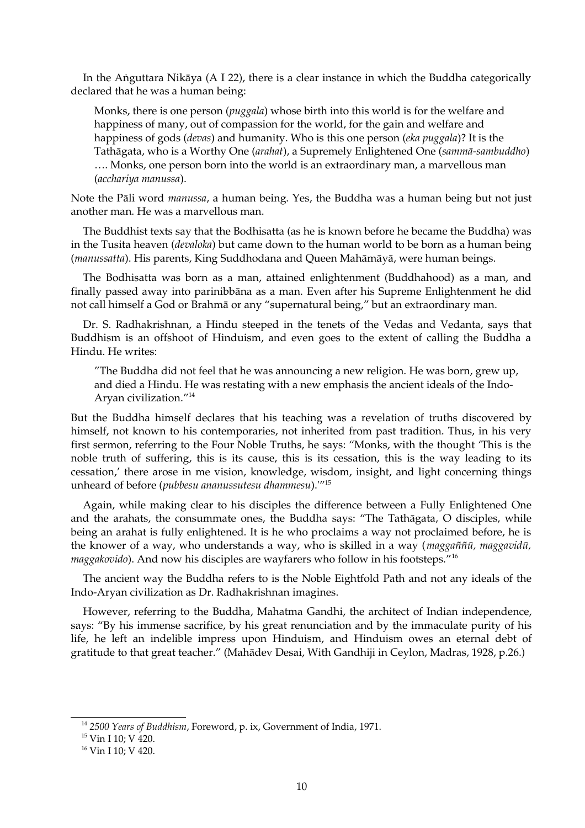In the Aṅguttara Nikāya (A I 22), there is a clear instance in which the Buddha categorically declared that he was a human being:

Monks, there is one person (*puggala*) whose birth into this world is for the welfare and happiness of many, out of compassion for the world, for the gain and welfare and happiness of gods (*devas*) and humanity. Who is this one person (*eka puggala*)? It is the Tathāgata, who is a Worthy One (*arahat*), a Supremely Enlightened One (*sammā-sambuddho*) …. Monks, one person born into the world is an extraordinary man, a marvellous man (*acchariya manussa*).

Note the Pāli word *manussa*, a human being. Yes, the Buddha was a human being but not just another man. He was a marvellous man.

The Buddhist texts say that the Bodhisatta (as he is known before he became the Buddha) was in the Tusita heaven (*devaloka*) but came down to the human world to be born as a human being (*manussatta*). His parents, King Suddhodana and Queen Mahāmāyā, were human beings.

The Bodhisatta was born as a man, attained enlightenment (Buddhahood) as a man, and finally passed away into parinibbāna as a man. Even after his Supreme Enlightenment he did not call himself a God or Brahmā or any "supernatural being," but an extraordinary man.

Dr. S. Radhakrishnan, a Hindu steeped in the tenets of the Vedas and Vedanta, says that Buddhism is an offshoot of Hinduism, and even goes to the extent of calling the Buddha a Hindu. He writes:

"The Buddha did not feel that he was announcing a new religion. He was born, grew up, and died a Hindu. He was restating with a new emphasis the ancient ideals of the Indo-Aryan civilization."[14](#page-9-0)

But the Buddha himself declares that his teaching was a revelation of truths discovered by himself, not known to his contemporaries, not inherited from past tradition. Thus, in his very first sermon, referring to the Four Noble Truths, he says: "Monks, with the thought 'This is the noble truth of suffering, this is its cause, this is its cessation, this is the way leading to its cessation,' there arose in me vision, knowledge, wisdom, insight, and light concerning things unheard of before (*pubbesu ananussutesu dhammesu*).'"[15](#page-9-1)

Again, while making clear to his disciples the difference between a Fully Enlightened One and the arahats, the consummate ones, the Buddha says: "The Tathāgata, O disciples, while being an arahat is fully enlightened. It is he who proclaims a way not proclaimed before, he is the knower of a way, who understands a way, who is skilled in a way (*maggaññū, maggavidū, maggakovido*). And now his disciples are wayfarers who follow in his footsteps."[16](#page-9-2)

The ancient way the Buddha refers to is the Noble Eightfold Path and not any ideals of the Indo-Aryan civilization as Dr. Radhakrishnan imagines.

However, referring to the Buddha, Mahatma Gandhi, the architect of Indian independence, says: "By his immense sacrifice, by his great renunciation and by the immaculate purity of his life, he left an indelible impress upon Hinduism, and Hinduism owes an eternal debt of gratitude to that great teacher." (Mahādev Desai, With Gandhiji in Ceylon, Madras, 1928, p.26.)

<span id="page-9-0"></span><sup>&</sup>lt;sup>14</sup> 2500 Years of Buddhism, Foreword, p. ix, Government of India, 1971.

<span id="page-9-1"></span><sup>&</sup>lt;sup>15</sup> Vin I 10; V 420.

<span id="page-9-2"></span><sup>&</sup>lt;sup>16</sup> Vin I 10: V 420.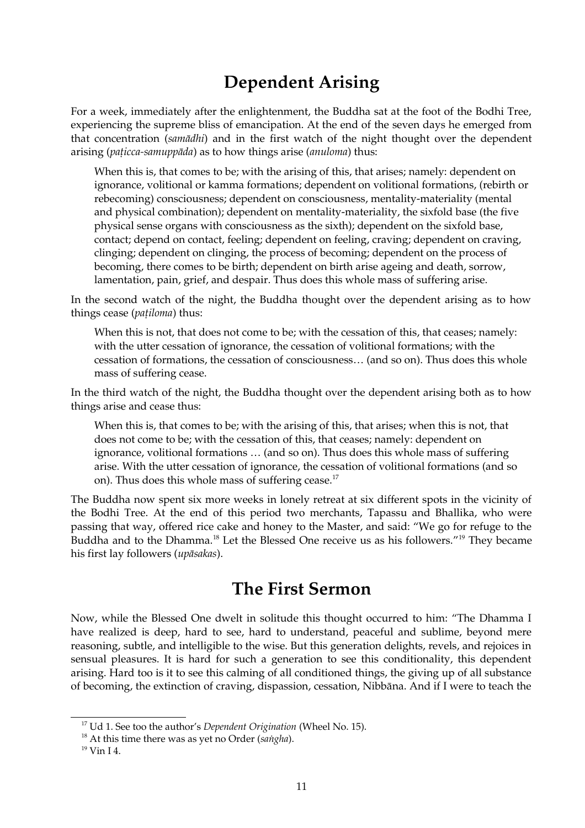# <span id="page-10-1"></span>**Dependent Arising**

For a week, immediately after the enlightenment, the Buddha sat at the foot of the Bodhi Tree, experiencing the supreme bliss of emancipation. At the end of the seven days he emerged from that concentration (*samādhi*) and in the first watch of the night thought over the dependent arising (*paṭicca-samuppāda*) as to how things arise (*anuloma*) thus:

When this is, that comes to be; with the arising of this, that arises; namely: dependent on ignorance, volitional or kamma formations; dependent on volitional formations, (rebirth or rebecoming) consciousness; dependent on consciousness, mentality-materiality (mental and physical combination); dependent on mentality-materiality, the sixfold base (the five physical sense organs with consciousness as the sixth); dependent on the sixfold base, contact; depend on contact, feeling; dependent on feeling, craving; dependent on craving, clinging; dependent on clinging, the process of becoming; dependent on the process of becoming, there comes to be birth; dependent on birth arise ageing and death, sorrow, lamentation, pain, grief, and despair. Thus does this whole mass of suffering arise.

In the second watch of the night, the Buddha thought over the dependent arising as to how things cease (*paṭiloma*) thus:

When this is not, that does not come to be; with the cessation of this, that ceases; namely: with the utter cessation of ignorance, the cessation of volitional formations; with the cessation of formations, the cessation of consciousness… (and so on). Thus does this whole mass of suffering cease.

In the third watch of the night, the Buddha thought over the dependent arising both as to how things arise and cease thus:

When this is, that comes to be; with the arising of this, that arises; when this is not, that does not come to be; with the cessation of this, that ceases; namely: dependent on ignorance, volitional formations … (and so on). Thus does this whole mass of suffering arise. With the utter cessation of ignorance, the cessation of volitional formations (and so on). Thus does this whole mass of suffering cease.<sup>[17](#page-10-2)</sup>

The Buddha now spent six more weeks in lonely retreat at six different spots in the vicinity of the Bodhi Tree. At the end of this period two merchants, Tapassu and Bhallika, who were passing that way, offered rice cake and honey to the Master, and said: "We go for refuge to the Buddha and to the Dhamma.[18](#page-10-3) Let the Blessed One receive us as his followers."[19](#page-10-4) They became his first lay followers (*upāsakas*).

#### <span id="page-10-0"></span>**The First Sermon**

Now, while the Blessed One dwelt in solitude this thought occurred to him: "The Dhamma I have realized is deep, hard to see, hard to understand, peaceful and sublime, beyond mere reasoning, subtle, and intelligible to the wise. But this generation delights, revels, and rejoices in sensual pleasures. It is hard for such a generation to see this conditionality, this dependent arising. Hard too is it to see this calming of all conditioned things, the giving up of all substance of becoming, the extinction of craving, dispassion, cessation, Nibbāna. And if I were to teach the

<span id="page-10-2"></span><sup>&</sup>lt;sup>17</sup> Ud 1. See too the author's *Dependent Origination* (Wheel No. 15).

<span id="page-10-3"></span><sup>18</sup> At this time there was as yet no Order (*saṅgha*).

<span id="page-10-4"></span> $19$  Vin I 4.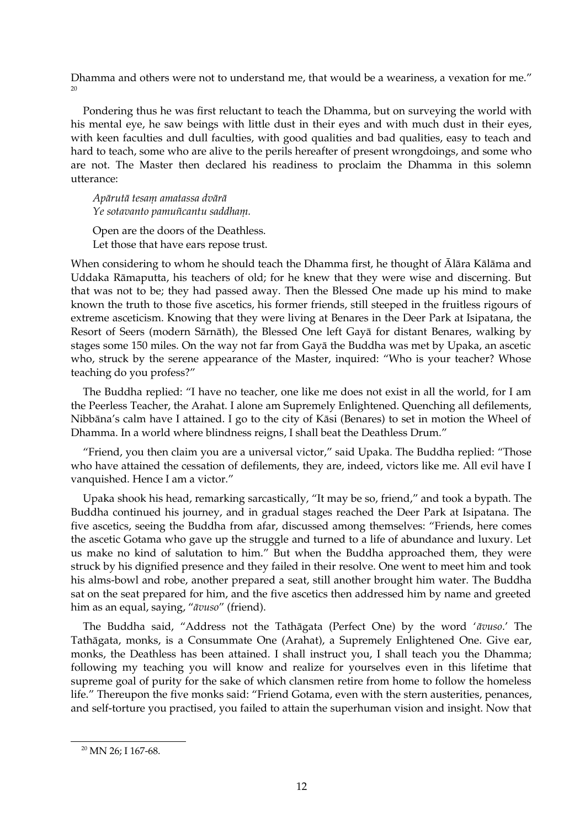Dhamma and others were not to understand me, that would be a weariness, a vexation for me." [20](#page-11-0)

Pondering thus he was first reluctant to teach the Dhamma, but on surveying the world with his mental eye, he saw beings with little dust in their eyes and with much dust in their eyes, with keen faculties and dull faculties, with good qualities and bad qualities, easy to teach and hard to teach, some who are alive to the perils hereafter of present wrongdoings, and some who are not. The Master then declared his readiness to proclaim the Dhamma in this solemn utterance:

*Apārutā tesaṃ amatassa dvārā Ye sotavanto pamuñcantu saddhaṃ.*

Open are the doors of the Deathless. Let those that have ears repose trust.

When considering to whom he should teach the Dhamma first, he thought of Ālāra Kālāma and Uddaka Rāmaputta, his teachers of old; for he knew that they were wise and discerning. But that was not to be; they had passed away. Then the Blessed One made up his mind to make known the truth to those five ascetics, his former friends, still steeped in the fruitless rigours of extreme asceticism. Knowing that they were living at Benares in the Deer Park at Isipatana, the Resort of Seers (modern Sārnāth), the Blessed One left Gayā for distant Benares, walking by stages some 150 miles. On the way not far from Gayā the Buddha was met by Upaka, an ascetic who, struck by the serene appearance of the Master, inquired: "Who is your teacher? Whose teaching do you profess?"

The Buddha replied: "I have no teacher, one like me does not exist in all the world, for I am the Peerless Teacher, the Arahat. I alone am Supremely Enlightened. Quenching all defilements, Nibbāna's calm have I attained. I go to the city of Kāsi (Benares) to set in motion the Wheel of Dhamma. In a world where blindness reigns, I shall beat the Deathless Drum."

"Friend, you then claim you are a universal victor," said Upaka. The Buddha replied: "Those who have attained the cessation of defilements, they are, indeed, victors like me. All evil have I vanquished. Hence I am a victor."

Upaka shook his head, remarking sarcastically, "It may be so, friend," and took a bypath. The Buddha continued his journey, and in gradual stages reached the Deer Park at Isipatana. The five ascetics, seeing the Buddha from afar, discussed among themselves: "Friends, here comes the ascetic Gotama who gave up the struggle and turned to a life of abundance and luxury. Let us make no kind of salutation to him." But when the Buddha approached them, they were struck by his dignified presence and they failed in their resolve. One went to meet him and took his alms-bowl and robe, another prepared a seat, still another brought him water. The Buddha sat on the seat prepared for him, and the five ascetics then addressed him by name and greeted him as an equal, saying, "*āvuso*" (friend).

The Buddha said, "Address not the Tathāgata (Perfect One) by the word '*āvuso*.' The Tathāgata, monks, is a Consummate One (Arahat), a Supremely Enlightened One. Give ear, monks, the Deathless has been attained. I shall instruct you, I shall teach you the Dhamma; following my teaching you will know and realize for yourselves even in this lifetime that supreme goal of purity for the sake of which clansmen retire from home to follow the homeless life." Thereupon the five monks said: "Friend Gotama, even with the stern austerities, penances, and self-torture you practised, you failed to attain the superhuman vision and insight. Now that

<span id="page-11-0"></span> $^{20}$  MN 26; I 167-68.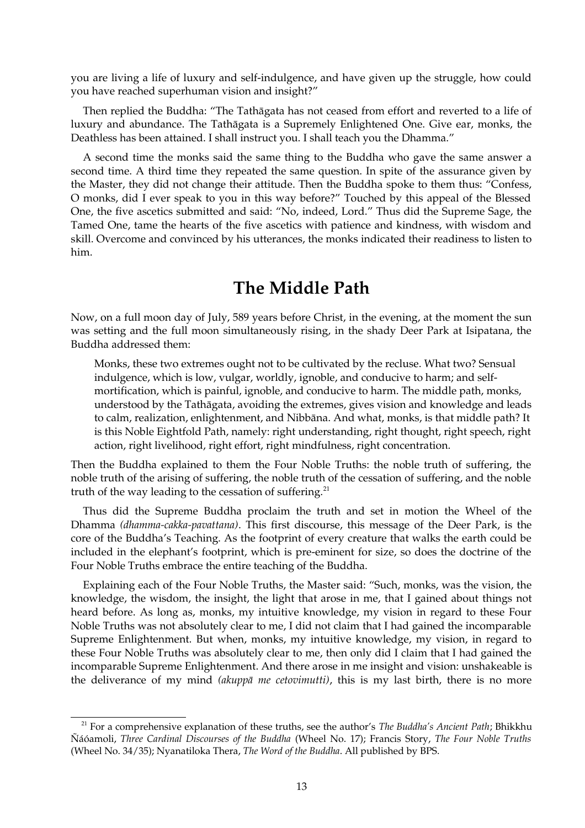you are living a life of luxury and self-indulgence, and have given up the struggle, how could you have reached superhuman vision and insight?"

Then replied the Buddha: "The Tathāgata has not ceased from effort and reverted to a life of luxury and abundance. The Tathāgata is a Supremely Enlightened One. Give ear, monks, the Deathless has been attained. I shall instruct you. I shall teach you the Dhamma."

A second time the monks said the same thing to the Buddha who gave the same answer a second time. A third time they repeated the same question. In spite of the assurance given by the Master, they did not change their attitude. Then the Buddha spoke to them thus: "Confess, O monks, did I ever speak to you in this way before?" Touched by this appeal of the Blessed One, the five ascetics submitted and said: "No, indeed, Lord." Thus did the Supreme Sage, the Tamed One, tame the hearts of the five ascetics with patience and kindness, with wisdom and skill. Overcome and convinced by his utterances, the monks indicated their readiness to listen to him.

#### <span id="page-12-0"></span>**The Middle Path**

Now, on a full moon day of July, 589 years before Christ, in the evening, at the moment the sun was setting and the full moon simultaneously rising, in the shady Deer Park at Isipatana, the Buddha addressed them:

Monks, these two extremes ought not to be cultivated by the recluse. What two? Sensual indulgence, which is low, vulgar, worldly, ignoble, and conducive to harm; and selfmortification, which is painful, ignoble, and conducive to harm. The middle path, monks, understood by the Tathāgata, avoiding the extremes, gives vision and knowledge and leads to calm, realization, enlightenment, and Nibbāna. And what, monks, is that middle path? It is this Noble Eightfold Path, namely: right understanding, right thought, right speech, right action, right livelihood, right effort, right mindfulness, right concentration.

Then the Buddha explained to them the Four Noble Truths: the noble truth of suffering, the noble truth of the arising of suffering, the noble truth of the cessation of suffering, and the noble truth of the way leading to the cessation of suffering. $21$ 

Thus did the Supreme Buddha proclaim the truth and set in motion the Wheel of the Dhamma *(dhamma-cakka-pavattana)*. This first discourse, this message of the Deer Park, is the core of the Buddha's Teaching. As the footprint of every creature that walks the earth could be included in the elephant's footprint, which is pre-eminent for size, so does the doctrine of the Four Noble Truths embrace the entire teaching of the Buddha.

Explaining each of the Four Noble Truths, the Master said: "Such, monks, was the vision, the knowledge, the wisdom, the insight, the light that arose in me, that I gained about things not heard before. As long as, monks, my intuitive knowledge, my vision in regard to these Four Noble Truths was not absolutely clear to me, I did not claim that I had gained the incomparable Supreme Enlightenment. But when, monks, my intuitive knowledge, my vision, in regard to these Four Noble Truths was absolutely clear to me, then only did I claim that I had gained the incomparable Supreme Enlightenment. And there arose in me insight and vision: unshakeable is the deliverance of my mind *(akuppā me cetovimutti)*, this is my last birth, there is no more

<span id="page-12-1"></span><sup>21</sup> For a comprehensive explanation of these truths, see the author's *The Buddha's Ancient Path*; Bhikkhu Ñáóamoli, *Three Cardinal Discourses of the Buddha* (Wheel No. 17); Francis Story, *The Four Noble Truths* (Wheel No. 34/35); Nyanatiloka Thera, *The Word of the Buddha*. All published by BPS.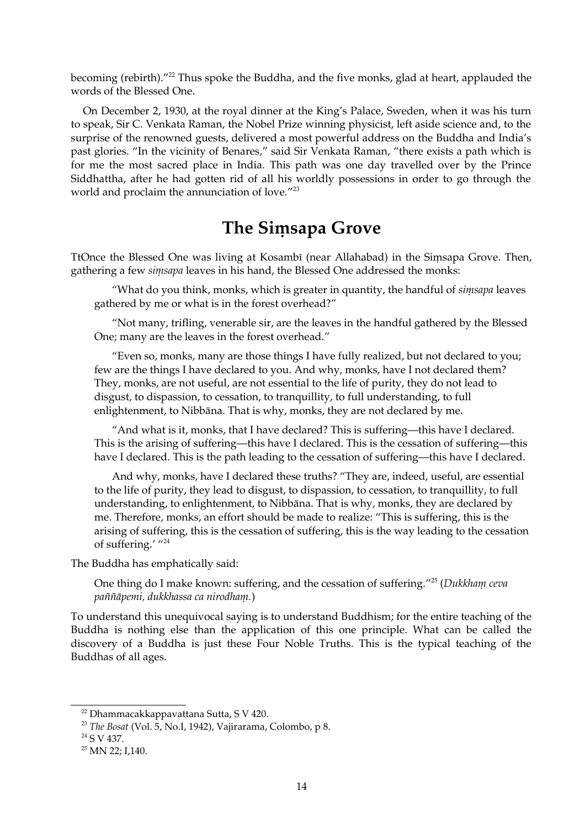becoming (rebirth)."<sup>[22](#page-13-1)</sup> Thus spoke the Buddha, and the five monks, glad at heart, applauded the words of the Blessed One.

On December 2, 1930, at the royal dinner at the King's Palace, Sweden, when it was his turn to speak, Sir C. Venkata Raman, the Nobel Prize winning physicist, left aside science and, to the surprise of the renowned guests, delivered a most powerful address on the Buddha and India's past glories. "In the vicinity of Benares," said Sir Venkata Raman, "there exists a path which is for me the most sacred place in India. This path was one day travelled over by the Prince Siddhattha, after he had gotten rid of all his worldly possessions in order to go through the world and proclaim the annunciation of love."<sup>[23](#page-13-2)</sup>

# <span id="page-13-0"></span>**The Siṃsapa Grove**

TtOnce the Blessed One was living at Kosambī (near Allahabad) in the Siṃsapa Grove. Then, gathering a few *siṃsapa* leaves in his hand, the Blessed One addressed the monks:

"What do you think, monks, which is greater in quantity, the handful of *siṃsapa* leaves gathered by me or what is in the forest overhead?"

"Not many, trifling, venerable sir, are the leaves in the handful gathered by the Blessed One; many are the leaves in the forest overhead."

"Even so, monks, many are those things I have fully realized, but not declared to you; few are the things I have declared to you. And why, monks, have I not declared them? They, monks, are not useful, are not essential to the life of purity, they do not lead to disgust, to dispassion, to cessation, to tranquillity, to full understanding, to full enlightenment, to Nibbāna. That is why, monks, they are not declared by me.

"And what is it, monks, that I have declared? This is suffering—this have I declared. This is the arising of suffering—this have I declared. This is the cessation of suffering—this have I declared. This is the path leading to the cessation of suffering—this have I declared.

And why, monks, have I declared these truths? "They are, indeed, useful, are essential to the life of purity, they lead to disgust, to dispassion, to cessation, to tranquillity, to full understanding, to enlightenment, to Nibbāna. That is why, monks, they are declared by me. Therefore, monks, an effort should be made to realize: "This is suffering, this is the arising of suffering, this is the cessation of suffering, this is the way leading to the cessation of suffering.' "[24](#page-13-3)

The Buddha has emphatically said:

One thing do I make known: suffering, and the cessation of suffering."[25](#page-13-4) (*Dukkhaṃ ceva paññāpemi, dukkhassa ca nirodhaṃ.*)

To understand this unequivocal saying is to understand Buddhism; for the entire teaching of the Buddha is nothing else than the application of this one principle. What can be called the discovery of a Buddha is just these Four Noble Truths. This is the typical teaching of the Buddhas of all ages.

<span id="page-13-1"></span><sup>22</sup> Dhammacakkappavattana Sutta, S V 420.

<span id="page-13-2"></span><sup>23</sup> *The Bosat* (Vol. 5, No.I, 1942), Vajirarama, Colombo, p 8.

<span id="page-13-3"></span><sup>&</sup>lt;sup>24</sup> S V 437.

<span id="page-13-4"></span> $25$  MN 22: I.140.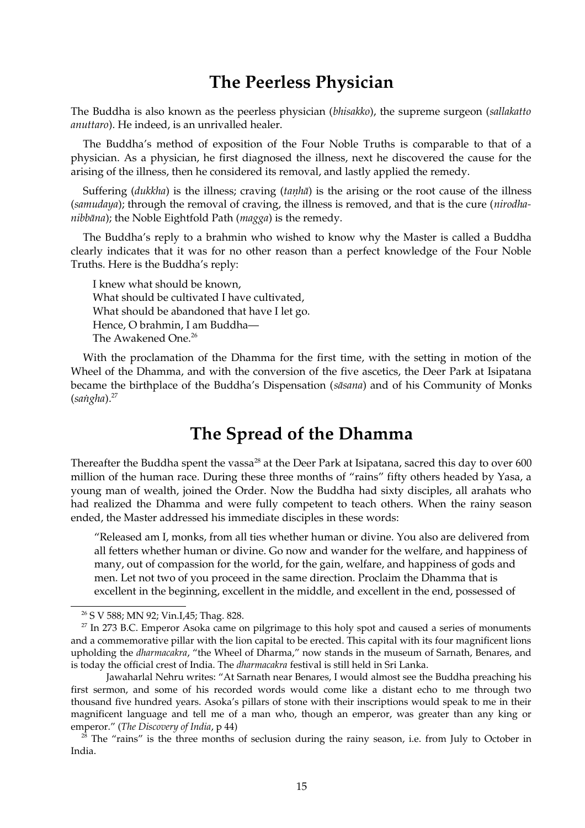#### <span id="page-14-1"></span>**The Peerless Physician**

The Buddha is also known as the peerless physician (*bhisakko*), the supreme surgeon (*sallakatto anuttaro*). He indeed, is an unrivalled healer.

The Buddha's method of exposition of the Four Noble Truths is comparable to that of a physician. As a physician, he first diagnosed the illness, next he discovered the cause for the arising of the illness, then he considered its removal, and lastly applied the remedy.

Suffering (*dukkha*) is the illness; craving (*taṇhā*) is the arising or the root cause of the illness (*samudaya*); through the removal of craving, the illness is removed, and that is the cure (*nirodhanibbāna*); the Noble Eightfold Path (*magga*) is the remedy.

The Buddha's reply to a brahmin who wished to know why the Master is called a Buddha clearly indicates that it was for no other reason than a perfect knowledge of the Four Noble Truths. Here is the Buddha's reply:

I knew what should be known, What should be cultivated I have cultivated. What should be abandoned that have I let go. Hence, O brahmin, I am Buddha— The Awakened One.<sup>[26](#page-14-2)</sup>

With the proclamation of the Dhamma for the first time, with the setting in motion of the Wheel of the Dhamma, and with the conversion of the five ascetics, the Deer Park at Isipatana became the birthplace of the Buddha's Dispensation (*sāsana*) and of his Community of Monks (*saṅgha*).[27](#page-14-3)

#### <span id="page-14-0"></span>**The Spread of the Dhamma**

Thereafter the Buddha spent the vassa<sup>[28](#page-14-4)</sup> at the Deer Park at Isipatana, sacred this day to over 600 million of the human race. During these three months of "rains" fifty others headed by Yasa, a young man of wealth, joined the Order. Now the Buddha had sixty disciples, all arahats who had realized the Dhamma and were fully competent to teach others. When the rainy season ended, the Master addressed his immediate disciples in these words:

"Released am I, monks, from all ties whether human or divine. You also are delivered from all fetters whether human or divine. Go now and wander for the welfare, and happiness of many, out of compassion for the world, for the gain, welfare, and happiness of gods and men. Let not two of you proceed in the same direction. Proclaim the Dhamma that is excellent in the beginning, excellent in the middle, and excellent in the end, possessed of

Jawaharlal Nehru writes: "At Sarnath near Benares, I would almost see the Buddha preaching his first sermon, and some of his recorded words would come like a distant echo to me through two thousand five hundred years. Asoka's pillars of stone with their inscriptions would speak to me in their magnificent language and tell me of a man who, though an emperor, was greater than any king or emperor." (*The Discovery of India*, p 44)

<span id="page-14-3"></span><span id="page-14-2"></span><sup>&</sup>lt;sup>26</sup> S V 588; MN 92; Vin.I,45; Thag. 828.

 $27$  In 273 B.C. Emperor Asoka came on pilgrimage to this holy spot and caused a series of monuments and a commemorative pillar with the lion capital to be erected. This capital with its four magnificent lions upholding the *dharmacakra*, "the Wheel of Dharma," now stands in the museum of Sarnath, Benares, and is today the official crest of India. The *dharmacakra* festival is still held in Sri Lanka.

<span id="page-14-4"></span> $28$  The "rains" is the three months of seclusion during the rainy season, i.e. from July to October in India.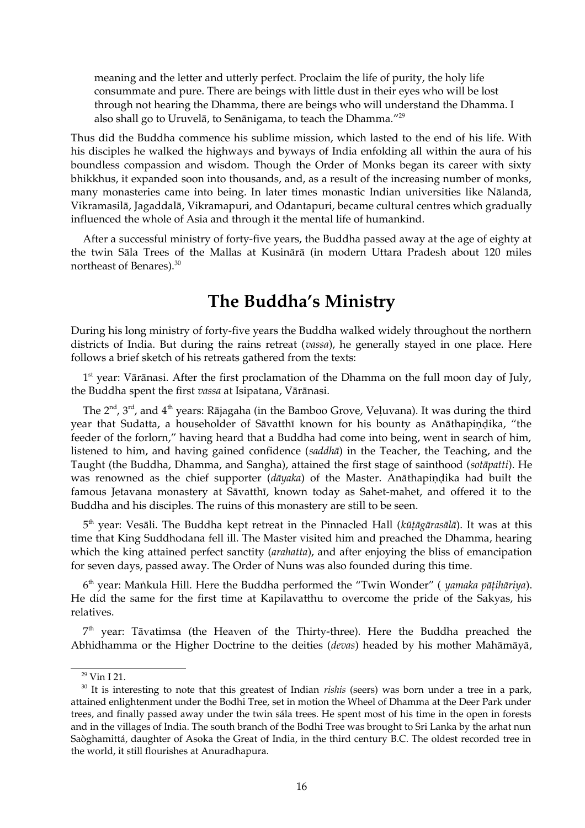meaning and the letter and utterly perfect. Proclaim the life of purity, the holy life consummate and pure. There are beings with little dust in their eyes who will be lost through not hearing the Dhamma, there are beings who will understand the Dhamma. I also shall go to Uruvelā, to Senānigama, to teach the Dhamma."[29](#page-15-2)

Thus did the Buddha commence his sublime mission, which lasted to the end of his life. With his disciples he walked the highways and byways of India enfolding all within the aura of his boundless compassion and wisdom. Though the Order of Monks began its career with sixty bhikkhus, it expanded soon into thousands, and, as a result of the increasing number of monks, many monasteries came into being. In later times monastic Indian universities like Nālandā, Vikramasilā, Jagaddalā, Vikramapuri, and Odantapuri, became cultural centres which gradually influenced the whole of Asia and through it the mental life of humankind.

After a successful ministry of forty-five years, the Buddha passed away at the age of eighty at the twin Sāla Trees of the Mallas at Kusinārā (in modern Uttara Pradesh about 120 miles northeast of Benares).[30](#page-15-3)

#### <span id="page-15-1"></span>**The Buddha's Ministry**

During his long ministry of forty-five years the Buddha walked widely throughout the northern districts of India. But during the rains retreat (*vassa*), he generally stayed in one place. Here follows a brief sketch of his retreats gathered from the texts:

1<sup>st</sup> year: Vārānasi. After the first proclamation of the Dhamma on the full moon day of July, the Buddha spent the first *vassa* at Isipatana, Vārānasi.

The 2<sup>nd</sup>, 3<sup>rd</sup>, and 4<sup>th</sup> years: Rājagaha (in the Bamboo Grove, Veļuvana). It was during the third year that Sudatta, a householder of Sāvatthī known for his bounty as Anāthapiṇḍika, "the feeder of the forlorn," having heard that a Buddha had come into being, went in search of him, listened to him, and having gained confidence (*saddhā*) in the Teacher, the Teaching, and the Taught (the Buddha, Dhamma, and Sangha), attained the first stage of sainthood (*sotāpatti*). He was renowned as the chief supporter (*dāyaka*) of the Master. Anāthapiṇḍika had built the famous Jetavana monastery at Sāvatthī, known today as Sahet-mahet, and offered it to the Buddha and his disciples. The ruins of this monastery are still to be seen.

5 th year: Vesāli. The Buddha kept retreat in the Pinnacled Hall (*kūṭāgārasālā*). It was at this time that King Suddhodana fell ill. The Master visited him and preached the Dhamma, hearing which the king attained perfect sanctity (*arahatta*), and after enjoying the bliss of emancipation for seven days, passed away. The Order of Nuns was also founded during this time.

<span id="page-15-0"></span>6 th year: Maṅkula Hill. Here the Buddha performed the "Twin Wonder" ( *yamaka pāṭihāriya*). He did the same for the first time at Kapilavatthu to overcome the pride of the Sakyas, his relatives.

7<sup>th</sup> year: Tāvatimsa (the Heaven of the Thirty-three). Here the Buddha preached the Abhidhamma or the Higher Doctrine to the deities (*devas*) headed by his mother Mahāmāyā,

<span id="page-15-3"></span><span id="page-15-2"></span><sup>&</sup>lt;sup>29</sup> Vin I 21.

<sup>&</sup>lt;sup>30</sup> It is interesting to note that this greatest of Indian *rishis* (seers) was born under a tree in a park, attained enlightenment under the Bodhi Tree, set in motion the Wheel of Dhamma at the Deer Park under trees, and finally passed away under the twin sála trees. He spent most of his time in the open in forests and in the villages of India. The south branch of the Bodhi Tree was brought to Sri Lanka by the arhat nun Saòghamittá, daughter of Asoka the Great of India, in the third century B.C. The oldest recorded tree in the world, it still flourishes at Anuradhapura.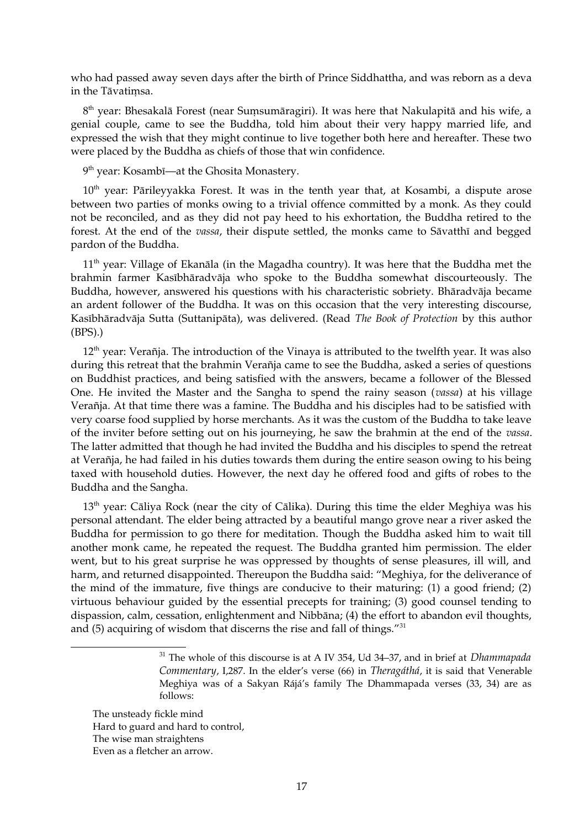who had passed away seven days after the birth of Prince Siddhattha, and was reborn as a deva in the Tāvatiṃsa.

8 th year: Bhesakalā Forest (near Suṃsumāragiri). It was here that Nakulapitā and his wife, a genial couple, came to see the Buddha, told him about their very happy married life, and expressed the wish that they might continue to live together both here and hereafter. These two were placed by the Buddha as chiefs of those that win confidence.

9<sup>th</sup> year: Kosambī—at the Ghosita Monastery.

 $10<sup>th</sup>$  year: Pārileyyakka Forest. It was in the tenth year that, at Kosambi, a dispute arose between two parties of monks owing to a trivial offence committed by a monk. As they could not be reconciled, and as they did not pay heed to his exhortation, the Buddha retired to the forest. At the end of the *vassa*, their dispute settled, the monks came to Sāvatthī and begged pardon of the Buddha.

11<sup>th</sup> year: Village of Ekanāla (in the Magadha country). It was here that the Buddha met the brahmin farmer Kasībhāradvāja who spoke to the Buddha somewhat discourteously. The Buddha, however, answered his questions with his characteristic sobriety. Bhāradvāja became an ardent follower of the Buddha. It was on this occasion that the very interesting discourse, Kasībhāradvāja Sutta (Suttanipāta), was delivered. (Read *The Book of Protection* by this author (BPS).)

 $12<sup>th</sup>$  year: Verañja. The introduction of the Vinaya is attributed to the twelfth year. It was also during this retreat that the brahmin Verañja came to see the Buddha, asked a series of questions on Buddhist practices, and being satisfied with the answers, became a follower of the Blessed One. He invited the Master and the Sangha to spend the rainy season (*vassa*) at his village Verañja. At that time there was a famine. The Buddha and his disciples had to be satisfied with very coarse food supplied by horse merchants. As it was the custom of the Buddha to take leave of the inviter before setting out on his journeying, he saw the brahmin at the end of the *vassa*. The latter admitted that though he had invited the Buddha and his disciples to spend the retreat at Verañja, he had failed in his duties towards them during the entire season owing to his being taxed with household duties. However, the next day he offered food and gifts of robes to the Buddha and the Sangha.

13<sup>th</sup> year: Cāliya Rock (near the city of Cālika). During this time the elder Meghiya was his personal attendant. The elder being attracted by a beautiful mango grove near a river asked the Buddha for permission to go there for meditation. Though the Buddha asked him to wait till another monk came, he repeated the request. The Buddha granted him permission. The elder went, but to his great surprise he was oppressed by thoughts of sense pleasures, ill will, and harm, and returned disappointed. Thereupon the Buddha said: "Meghiya, for the deliverance of the mind of the immature, five things are conducive to their maturing: (1) a good friend; (2) virtuous behaviour guided by the essential precepts for training; (3) good counsel tending to dispassion, calm, cessation, enlightenment and Nibbāna; (4) the effort to abandon evil thoughts, and (5) acquiring of wisdom that discerns the rise and fall of things."<sup>[31](#page-16-0)</sup>

The unsteady fickle mind Hard to guard and hard to control, The wise man straightens Even as a fletcher an arrow.

<span id="page-16-0"></span><sup>31</sup> The whole of this discourse is at A IV 354, Ud 34–37, and in brief at *Dhammapada Commentary*, I,287. In the elder's verse (66) in *Theragáthá*, it is said that Venerable Meghiya was of a Sakyan Rájá's family The Dhammapada verses (33, 34) are as follows: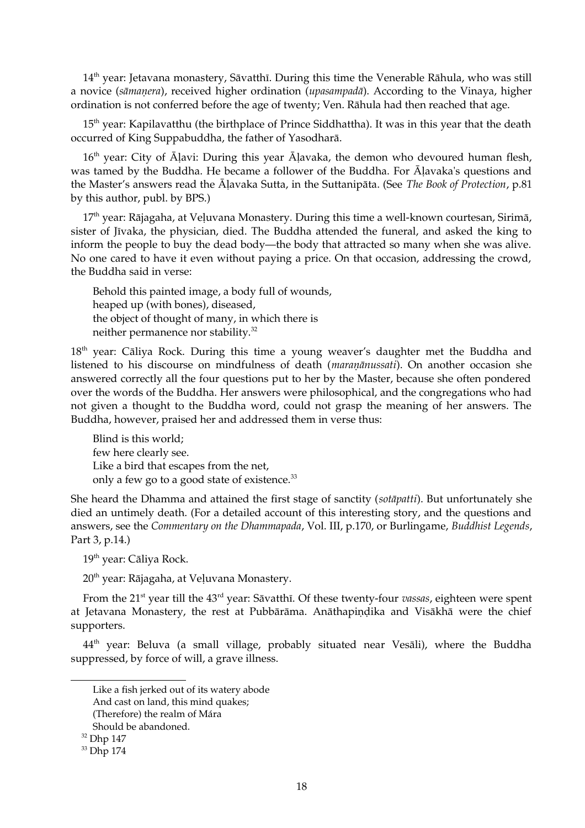14<sup>th</sup> year: Jetavana monastery, Sāvatthī. During this time the Venerable Rāhula, who was still a novice (*sāmaṇera*), received higher ordination (*upasampadā*). According to the Vinaya, higher ordination is not conferred before the age of twenty; Ven. Rāhula had then reached that age.

15<sup>th</sup> year: Kapilavatthu (the birthplace of Prince Siddhattha). It was in this year that the death occurred of King Suppabuddha, the father of Yasodharā.

16<sup>th</sup> year: City of Āļavi: During this year Āļavaka, the demon who devoured human flesh, was tamed by the Buddha. He became a follower of the Buddha. For Āḷavaka's questions and the Master's answers read the Āḷavaka Sutta, in the Suttanipāta. (See *The Book of Protection*, p.81 by this author, publ. by BPS.)

17<sup>th</sup> year: Rājagaha, at Veļuvana Monastery. During this time a well-known courtesan, Sirimā, sister of Jīvaka, the physician, died. The Buddha attended the funeral, and asked the king to inform the people to buy the dead body—the body that attracted so many when she was alive. No one cared to have it even without paying a price. On that occasion, addressing the crowd, the Buddha said in verse:

Behold this painted image, a body full of wounds, heaped up (with bones), diseased, the object of thought of many, in which there is neither permanence nor stability.[32](#page-17-0)

18<sup>th</sup> year: Cāliya Rock. During this time a young weaver's daughter met the Buddha and listened to his discourse on mindfulness of death (*maraṇānussati*). On another occasion she answered correctly all the four questions put to her by the Master, because she often pondered over the words of the Buddha. Her answers were philosophical, and the congregations who had not given a thought to the Buddha word, could not grasp the meaning of her answers. The Buddha, however, praised her and addressed them in verse thus:

Blind is this world; few here clearly see. Like a bird that escapes from the net, only a few go to a good state of existence.<sup>[33](#page-17-1)</sup>

She heard the Dhamma and attained the first stage of sanctity (*sotāpatti*). But unfortunately she died an untimely death. (For a detailed account of this interesting story, and the questions and answers, see the *Commentary on the Dhammapada*, Vol. III, p.170, or Burlingame, *Buddhist Legends*, Part 3, p.14.)

19<sup>th</sup> year: Cāliya Rock.

20<sup>th</sup> year: Rājagaha, at Veļuvana Monastery.

From the 21st year till the 43rd year: Sāvatthī. Of these twenty-four *vassas*, eighteen were spent at Jetavana Monastery, the rest at Pubbārāma. Anāthapiṇḍika and Visākhā were the chief supporters.

44th year: Beluva (a small village, probably situated near Vesāli), where the Buddha suppressed, by force of will, a grave illness.

Like a fish jerked out of its watery abode

And cast on land, this mind quakes;

<sup>(</sup>Therefore) the realm of Mára

Should be abandoned.

<span id="page-17-0"></span><sup>32</sup> Dhp 147

<span id="page-17-1"></span><sup>&</sup>lt;sup>33</sup> Dhp 174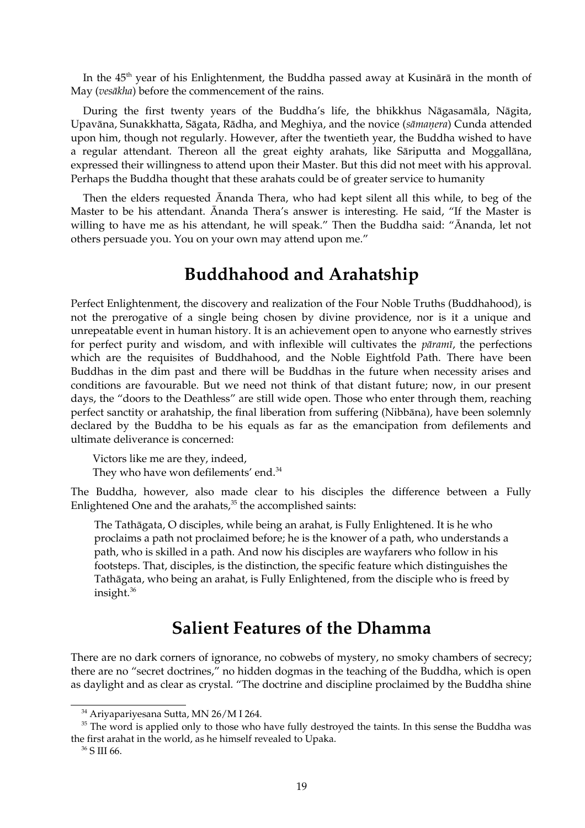In the 45<sup>th</sup> year of his Enlightenment, the Buddha passed away at Kusinārā in the month of May (*vesākha*) before the commencement of the rains.

During the first twenty years of the Buddha's life, the bhikkhus Nāgasamāla, Nāgita, Upavāna, Sunakkhatta, Sāgata, Rādha, and Meghiya, and the novice (*sāmaṇera*) Cunda attended upon him, though not regularly. However, after the twentieth year, the Buddha wished to have a regular attendant. Thereon all the great eighty arahats, like Sāriputta and Moggallāna, expressed their willingness to attend upon their Master. But this did not meet with his approval. Perhaps the Buddha thought that these arahats could be of greater service to humanity

Then the elders requested Ānanda Thera, who had kept silent all this while, to beg of the Master to be his attendant. Ānanda Thera's answer is interesting. He said, "If the Master is willing to have me as his attendant, he will speak." Then the Buddha said: "Ānanda, let not others persuade you. You on your own may attend upon me."

#### <span id="page-18-1"></span>**Buddhahood and Arahatship**

Perfect Enlightenment, the discovery and realization of the Four Noble Truths (Buddhahood), is not the prerogative of a single being chosen by divine providence, nor is it a unique and unrepeatable event in human history. It is an achievement open to anyone who earnestly strives for perfect purity and wisdom, and with inflexible will cultivates the *pāramī*, the perfections which are the requisites of Buddhahood, and the Noble Eightfold Path. There have been Buddhas in the dim past and there will be Buddhas in the future when necessity arises and conditions are favourable. But we need not think of that distant future; now, in our present days, the "doors to the Deathless" are still wide open. Those who enter through them, reaching perfect sanctity or arahatship, the final liberation from suffering (Nibbāna), have been solemnly declared by the Buddha to be his equals as far as the emancipation from defilements and ultimate deliverance is concerned:

Victors like me are they, indeed, They who have won defilements' end.<sup>[34](#page-18-2)</sup>

The Buddha, however, also made clear to his disciples the difference between a Fully Enlightened One and the arahats, $35$  the accomplished saints:

The Tathāgata, O disciples, while being an arahat, is Fully Enlightened. It is he who proclaims a path not proclaimed before; he is the knower of a path, who understands a path, who is skilled in a path. And now his disciples are wayfarers who follow in his footsteps. That, disciples, is the distinction, the specific feature which distinguishes the Tathāgata, who being an arahat, is Fully Enlightened, from the disciple who is freed by insight. $36$ 

#### <span id="page-18-0"></span>**Salient Features of the Dhamma**

There are no dark corners of ignorance, no cobwebs of mystery, no smoky chambers of secrecy; there are no "secret doctrines," no hidden dogmas in the teaching of the Buddha, which is open as daylight and as clear as crystal. "The doctrine and discipline proclaimed by the Buddha shine

<span id="page-18-3"></span><span id="page-18-2"></span><sup>&</sup>lt;sup>34</sup> Ariyapariyesana Sutta, MN 26/M I 264.

<sup>&</sup>lt;sup>35</sup> The word is applied only to those who have fully destroyed the taints. In this sense the Buddha was the first arahat in the world, as he himself revealed to Upaka.

<span id="page-18-4"></span><sup>&</sup>lt;sup>36</sup> S III 66.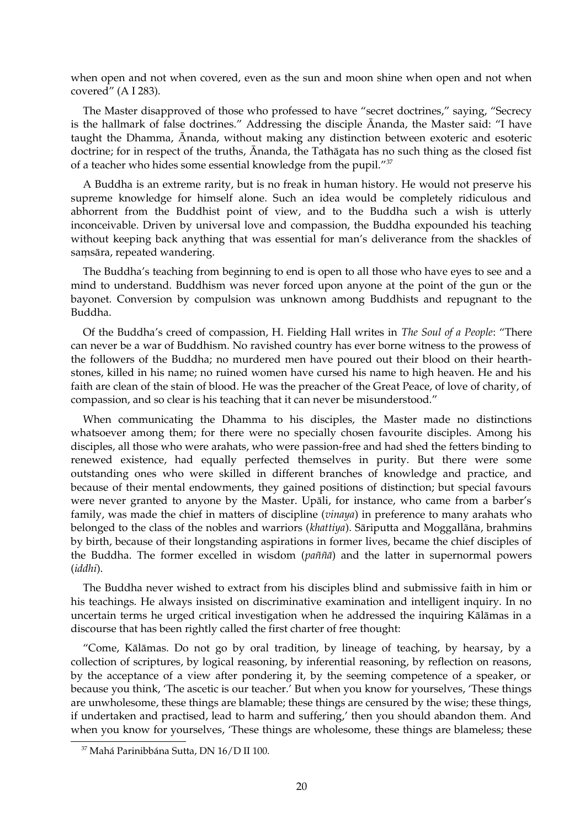when open and not when covered, even as the sun and moon shine when open and not when covered" (A I 283).

The Master disapproved of those who professed to have "secret doctrines," saying, "Secrecy is the hallmark of false doctrines." Addressing the disciple Ānanda, the Master said: "I have taught the Dhamma, Ānanda, without making any distinction between exoteric and esoteric doctrine; for in respect of the truths, Ānanda, the Tathāgata has no such thing as the closed fist of a teacher who hides some essential knowledge from the pupil."[37](#page-19-0)

A Buddha is an extreme rarity, but is no freak in human history. He would not preserve his supreme knowledge for himself alone. Such an idea would be completely ridiculous and abhorrent from the Buddhist point of view, and to the Buddha such a wish is utterly inconceivable. Driven by universal love and compassion, the Buddha expounded his teaching without keeping back anything that was essential for man's deliverance from the shackles of saṃsāra, repeated wandering.

The Buddha's teaching from beginning to end is open to all those who have eyes to see and a mind to understand. Buddhism was never forced upon anyone at the point of the gun or the bayonet. Conversion by compulsion was unknown among Buddhists and repugnant to the Buddha.

Of the Buddha's creed of compassion, H. Fielding Hall writes in *The Soul of a People*: "There can never be a war of Buddhism. No ravished country has ever borne witness to the prowess of the followers of the Buddha; no murdered men have poured out their blood on their hearthstones, killed in his name; no ruined women have cursed his name to high heaven. He and his faith are clean of the stain of blood. He was the preacher of the Great Peace, of love of charity, of compassion, and so clear is his teaching that it can never be misunderstood."

When communicating the Dhamma to his disciples, the Master made no distinctions whatsoever among them; for there were no specially chosen favourite disciples. Among his disciples, all those who were arahats, who were passion-free and had shed the fetters binding to renewed existence, had equally perfected themselves in purity. But there were some outstanding ones who were skilled in different branches of knowledge and practice, and because of their mental endowments, they gained positions of distinction; but special favours were never granted to anyone by the Master. Upāli, for instance, who came from a barber's family, was made the chief in matters of discipline (*vinaya*) in preference to many arahats who belonged to the class of the nobles and warriors (*khattiya*). Sāriputta and Moggallāna, brahmins by birth, because of their longstanding aspirations in former lives, became the chief disciples of the Buddha. The former excelled in wisdom (*paññā*) and the latter in supernormal powers (*iddhi*).

The Buddha never wished to extract from his disciples blind and submissive faith in him or his teachings. He always insisted on discriminative examination and intelligent inquiry. In no uncertain terms he urged critical investigation when he addressed the inquiring Kālāmas in a discourse that has been rightly called the first charter of free thought:

"Come, Kālāmas. Do not go by oral tradition, by lineage of teaching, by hearsay, by a collection of scriptures, by logical reasoning, by inferential reasoning, by reflection on reasons, by the acceptance of a view after pondering it, by the seeming competence of a speaker, or because you think, 'The ascetic is our teacher.' But when you know for yourselves, 'These things are unwholesome, these things are blamable; these things are censured by the wise; these things, if undertaken and practised, lead to harm and suffering,' then you should abandon them. And when you know for yourselves, 'These things are wholesome, these things are blameless; these

<span id="page-19-0"></span><sup>37</sup> Mahá Parinibbána Sutta, DN 16/D II 100.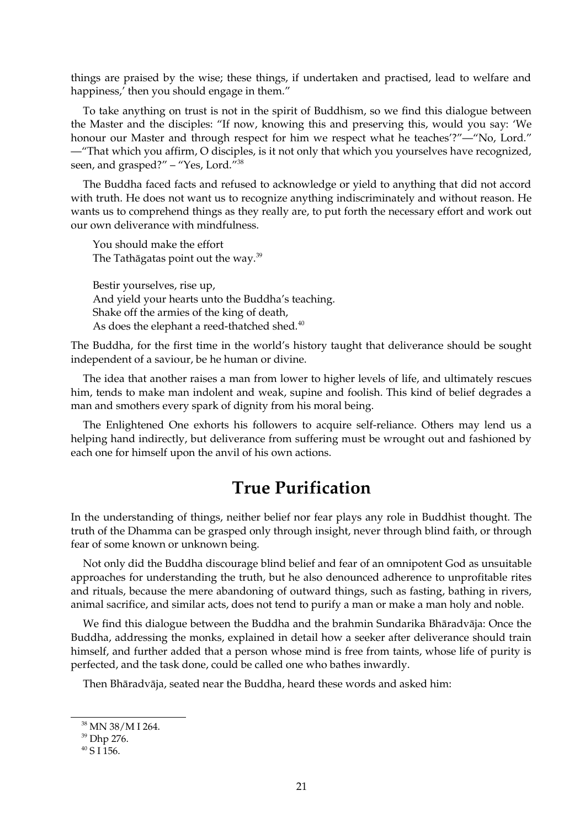things are praised by the wise; these things, if undertaken and practised, lead to welfare and happiness,' then you should engage in them."

To take anything on trust is not in the spirit of Buddhism, so we find this dialogue between the Master and the disciples: "If now, knowing this and preserving this, would you say: 'We honour our Master and through respect for him we respect what he teaches'?"—"No, Lord." —"That which you affirm, O disciples, is it not only that which you yourselves have recognized, seen, and grasped?" – "Yes, Lord."<sup>[38](#page-20-1)</sup>

The Buddha faced facts and refused to acknowledge or yield to anything that did not accord with truth. He does not want us to recognize anything indiscriminately and without reason. He wants us to comprehend things as they really are, to put forth the necessary effort and work out our own deliverance with mindfulness.

You should make the effort The Tathāgatas point out the way.<sup>[39](#page-20-2)</sup>

Bestir yourselves, rise up, And yield your hearts unto the Buddha's teaching. Shake off the armies of the king of death, As does the elephant a reed-thatched shed.<sup>[40](#page-20-3)</sup>

The Buddha, for the first time in the world's history taught that deliverance should be sought independent of a saviour, be he human or divine.

The idea that another raises a man from lower to higher levels of life, and ultimately rescues him, tends to make man indolent and weak, supine and foolish. This kind of belief degrades a man and smothers every spark of dignity from his moral being.

The Enlightened One exhorts his followers to acquire self-reliance. Others may lend us a helping hand indirectly, but deliverance from suffering must be wrought out and fashioned by each one for himself upon the anvil of his own actions.

#### <span id="page-20-0"></span>**True Purification**

In the understanding of things, neither belief nor fear plays any role in Buddhist thought. The truth of the Dhamma can be grasped only through insight, never through blind faith, or through fear of some known or unknown being.

Not only did the Buddha discourage blind belief and fear of an omnipotent God as unsuitable approaches for understanding the truth, but he also denounced adherence to unprofitable rites and rituals, because the mere abandoning of outward things, such as fasting, bathing in rivers, animal sacrifice, and similar acts, does not tend to purify a man or make a man holy and noble.

We find this dialogue between the Buddha and the brahmin Sundarika Bhāradvāja: Once the Buddha, addressing the monks, explained in detail how a seeker after deliverance should train himself, and further added that a person whose mind is free from taints, whose life of purity is perfected, and the task done, could be called one who bathes inwardly.

Then Bhāradvāja, seated near the Buddha, heard these words and asked him:

<span id="page-20-1"></span><sup>38</sup> MN 38/M I 264.

<span id="page-20-2"></span><sup>39</sup> Dhp 276.

<span id="page-20-3"></span> $40$  S I 156.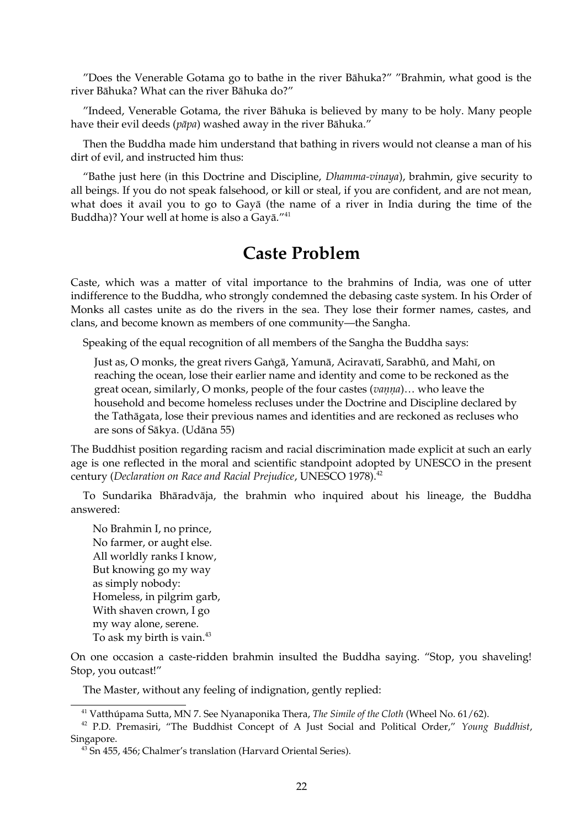"Does the Venerable Gotama go to bathe in the river Bāhuka?" "Brahmin, what good is the river Bāhuka? What can the river Bāhuka do?"

"Indeed, Venerable Gotama, the river Bāhuka is believed by many to be holy. Many people have their evil deeds (*pāpa*) washed away in the river Bāhuka."

Then the Buddha made him understand that bathing in rivers would not cleanse a man of his dirt of evil, and instructed him thus:

"Bathe just here (in this Doctrine and Discipline, *Dhamma-vinaya*), brahmin, give security to all beings. If you do not speak falsehood, or kill or steal, if you are confident, and are not mean, what does it avail you to go to Gayā (the name of a river in India during the time of the Buddha)? Your well at home is also a Gayā."[41](#page-21-1)

#### <span id="page-21-0"></span>**Caste Problem**

Caste, which was a matter of vital importance to the brahmins of India, was one of utter indifference to the Buddha, who strongly condemned the debasing caste system. In his Order of Monks all castes unite as do the rivers in the sea. They lose their former names, castes, and clans, and become known as members of one community—the Sangha.

Speaking of the equal recognition of all members of the Sangha the Buddha says:

Just as, O monks, the great rivers Gaṅgā, Yamunā, Aciravatī, Sarabhū, and Mahī, on reaching the ocean, lose their earlier name and identity and come to be reckoned as the great ocean, similarly, O monks, people of the four castes (*vaṇṇa*)… who leave the household and become homeless recluses under the Doctrine and Discipline declared by the Tathāgata, lose their previous names and identities and are reckoned as recluses who are sons of Sākya. (Udāna 55)

The Buddhist position regarding racism and racial discrimination made explicit at such an early age is one reflected in the moral and scientific standpoint adopted by UNESCO in the present century (*Declaration on Race and Racial Prejudice*, UNESCO 1978).[42](#page-21-2)

To Sundarika Bhāradvāja, the brahmin who inquired about his lineage, the Buddha answered:

No Brahmin I, no prince, No farmer, or aught else. All worldly ranks I know, But knowing go my way as simply nobody: Homeless, in pilgrim garb, With shaven crown, I go my way alone, serene. To ask my birth is vain.<sup>[43](#page-21-3)</sup>

On one occasion a caste-ridden brahmin insulted the Buddha saying. "Stop, you shaveling! Stop, you outcast!"

The Master, without any feeling of indignation, gently replied:

<span id="page-21-2"></span><span id="page-21-1"></span><sup>41</sup> Vatthúpama Sutta, MN 7. See Nyanaponika Thera, *The Simile of the Cloth* (Wheel No. 61/62).

<sup>42</sup> P.D. Premasiri, "The Buddhist Concept of A Just Social and Political Order," *Young Buddhist*, Singapore.

<span id="page-21-3"></span><sup>&</sup>lt;sup>43</sup> Sn 455, 456; Chalmer's translation (Harvard Oriental Series).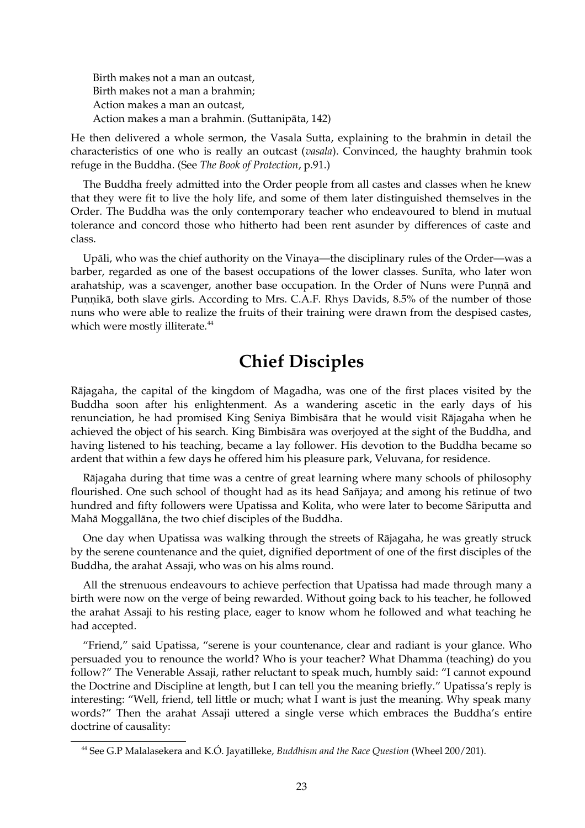Birth makes not a man an outcast, Birth makes not a man a brahmin; Action makes a man an outcast, Action makes a man a brahmin. (Suttanipāta, 142)

He then delivered a whole sermon, the Vasala Sutta, explaining to the brahmin in detail the characteristics of one who is really an outcast (*vasala*). Convinced, the haughty brahmin took refuge in the Buddha. (See *The Book of Protection*, p.91.)

The Buddha freely admitted into the Order people from all castes and classes when he knew that they were fit to live the holy life, and some of them later distinguished themselves in the Order. The Buddha was the only contemporary teacher who endeavoured to blend in mutual tolerance and concord those who hitherto had been rent asunder by differences of caste and class.

Upāli, who was the chief authority on the Vinaya—the disciplinary rules of the Order—was a barber, regarded as one of the basest occupations of the lower classes. Sunīta, who later won arahatship, was a scavenger, another base occupation. In the Order of Nuns were Puṇṇā and Punnikā, both slave girls. According to Mrs. C.A.F. Rhys Davids, 8.5% of the number of those nuns who were able to realize the fruits of their training were drawn from the despised castes, which were mostly illiterate.<sup>[44](#page-22-1)</sup>

## <span id="page-22-0"></span>**Chief Disciples**

Rājagaha, the capital of the kingdom of Magadha, was one of the first places visited by the Buddha soon after his enlightenment. As a wandering ascetic in the early days of his renunciation, he had promised King Seniya Bimbisāra that he would visit Rājagaha when he achieved the object of his search. King Bimbisāra was overjoyed at the sight of the Buddha, and having listened to his teaching, became a lay follower. His devotion to the Buddha became so ardent that within a few days he offered him his pleasure park, Veluvana, for residence.

Rājagaha during that time was a centre of great learning where many schools of philosophy flourished. One such school of thought had as its head Sañjaya; and among his retinue of two hundred and fifty followers were Upatissa and Kolita, who were later to become Sāriputta and Mahā Moggallāna, the two chief disciples of the Buddha.

One day when Upatissa was walking through the streets of Rājagaha, he was greatly struck by the serene countenance and the quiet, dignified deportment of one of the first disciples of the Buddha, the arahat Assaji, who was on his alms round.

All the strenuous endeavours to achieve perfection that Upatissa had made through many a birth were now on the verge of being rewarded. Without going back to his teacher, he followed the arahat Assaji to his resting place, eager to know whom he followed and what teaching he had accepted.

"Friend," said Upatissa, "serene is your countenance, clear and radiant is your glance. Who persuaded you to renounce the world? Who is your teacher? What Dhamma (teaching) do you follow?" The Venerable Assaji, rather reluctant to speak much, humbly said: "I cannot expound the Doctrine and Discipline at length, but I can tell you the meaning briefly." Upatissa's reply is interesting: "Well, friend, tell little or much; what I want is just the meaning. Why speak many words?" Then the arahat Assaji uttered a single verse which embraces the Buddha's entire doctrine of causality:

<span id="page-22-1"></span><sup>44</sup> See G.P Malalasekera and K.Ó. Jayatilleke, *Buddhism and the Race Question* (Wheel 200/201).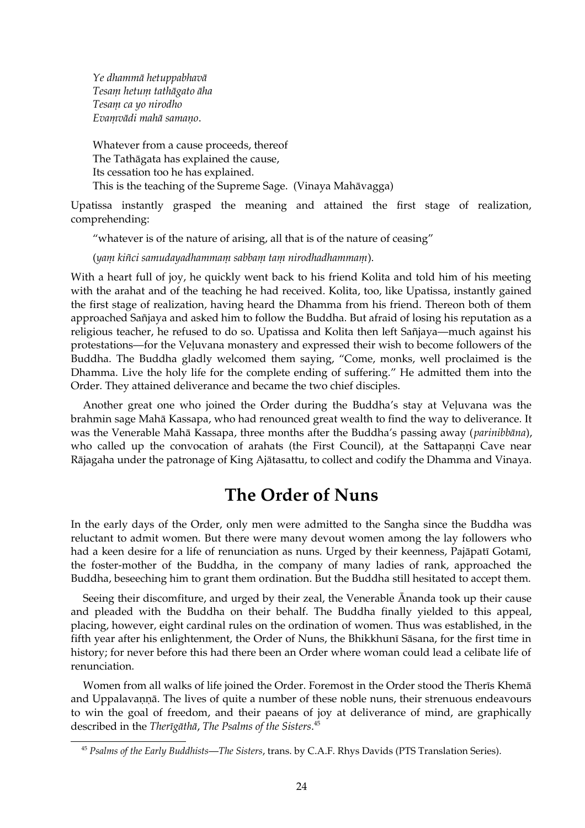*Ye dhammā hetuppabhavā Tesaṃ hetuṃ tathāgato āha Tesaṃ ca yo nirodho Evaṃvādi mahā samaṇo*.

Whatever from a cause proceeds, thereof The Tathāgata has explained the cause, Its cessation too he has explained. This is the teaching of the Supreme Sage. (Vinaya Mahāvagga)

Upatissa instantly grasped the meaning and attained the first stage of realization, comprehending:

"whatever is of the nature of arising, all that is of the nature of ceasing"

(*yaṃ kiñci samudayadhammaṃ sabbaṃ taṃ nirodhadhammaṃ*).

With a heart full of joy, he quickly went back to his friend Kolita and told him of his meeting with the arahat and of the teaching he had received. Kolita, too, like Upatissa, instantly gained the first stage of realization, having heard the Dhamma from his friend. Thereon both of them approached Sañjaya and asked him to follow the Buddha. But afraid of losing his reputation as a religious teacher, he refused to do so. Upatissa and Kolita then left Sañjaya—much against his protestations—for the Veḷuvana monastery and expressed their wish to become followers of the Buddha. The Buddha gladly welcomed them saying, "Come, monks, well proclaimed is the Dhamma. Live the holy life for the complete ending of suffering." He admitted them into the Order. They attained deliverance and became the two chief disciples.

Another great one who joined the Order during the Buddha's stay at Veḷuvana was the brahmin sage Mahā Kassapa, who had renounced great wealth to find the way to deliverance. It was the Venerable Mahā Kassapa, three months after the Buddha's passing away (*parinibbāna*), who called up the convocation of arahats (the First Council), at the Sattapaṇṇi Cave near Rājagaha under the patronage of King Ajātasattu, to collect and codify the Dhamma and Vinaya.

## **The Order of Nuns**

In the early days of the Order, only men were admitted to the Sangha since the Buddha was reluctant to admit women. But there were many devout women among the lay followers who had a keen desire for a life of renunciation as nuns. Urged by their keenness, Pajāpatī Gotamī, the foster-mother of the Buddha, in the company of many ladies of rank, approached the Buddha, beseeching him to grant them ordination. But the Buddha still hesitated to accept them.

Seeing their discomfiture, and urged by their zeal, the Venerable Ānanda took up their cause and pleaded with the Buddha on their behalf. The Buddha finally yielded to this appeal, placing, however, eight cardinal rules on the ordination of women. Thus was established, in the fifth year after his enlightenment, the Order of Nuns, the Bhikkhunī Sāsana, for the first time in history; for never before this had there been an Order where woman could lead a celibate life of renunciation.

Women from all walks of life joined the Order. Foremost in the Order stood the Therīs Khemā and Uppalavaṇṇā. The lives of quite a number of these noble nuns, their strenuous endeavours to win the goal of freedom, and their paeans of joy at deliverance of mind, are graphically described in the *Therīgāthā*, *The Psalms of the Sisters*. [45](#page-23-0)

<span id="page-23-0"></span><sup>45</sup> *Psalms of the Early Buddhists*—*The Sisters*, trans. by C.A.F. Rhys Davids (PTS Translation Series).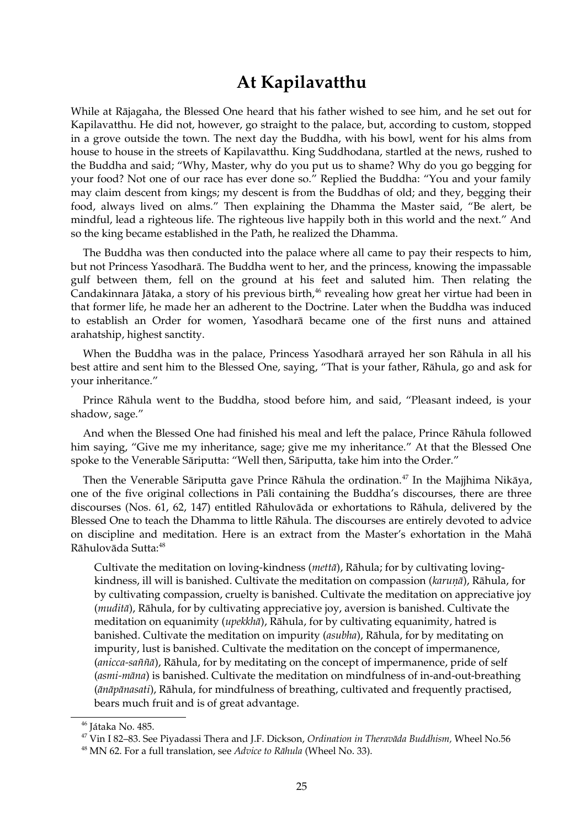## <span id="page-24-0"></span>**At Kapilavatthu**

While at Rājagaha, the Blessed One heard that his father wished to see him, and he set out for Kapilavatthu. He did not, however, go straight to the palace, but, according to custom, stopped in a grove outside the town. The next day the Buddha, with his bowl, went for his alms from house to house in the streets of Kapilavatthu. King Suddhodana, startled at the news, rushed to the Buddha and said; "Why, Master, why do you put us to shame? Why do you go begging for your food? Not one of our race has ever done so." Replied the Buddha: "You and your family may claim descent from kings; my descent is from the Buddhas of old; and they, begging their food, always lived on alms." Then explaining the Dhamma the Master said, "Be alert, be mindful, lead a righteous life. The righteous live happily both in this world and the next." And so the king became established in the Path, he realized the Dhamma.

The Buddha was then conducted into the palace where all came to pay their respects to him, but not Princess Yasodharā. The Buddha went to her, and the princess, knowing the impassable gulf between them, fell on the ground at his feet and saluted him. Then relating the Candakinnara Jātaka, a story of his previous birth,<sup>[46](#page-24-1)</sup> revealing how great her virtue had been in that former life, he made her an adherent to the Doctrine. Later when the Buddha was induced to establish an Order for women, Yasodharā became one of the first nuns and attained arahatship, highest sanctity.

When the Buddha was in the palace, Princess Yasodharā arrayed her son Rāhula in all his best attire and sent him to the Blessed One, saying, "That is your father, Rāhula, go and ask for your inheritance."

Prince Rāhula went to the Buddha, stood before him, and said, "Pleasant indeed, is your shadow, sage."

And when the Blessed One had finished his meal and left the palace, Prince Rāhula followed him saying, "Give me my inheritance, sage; give me my inheritance." At that the Blessed One spoke to the Venerable Sāriputta: "Well then, Sāriputta, take him into the Order."

Then the Venerable Sāriputta gave Prince Rāhula the ordination.<sup>[47](#page-24-2)</sup> In the Majjhima Nikāva, one of the five original collections in Pāli containing the Buddha's discourses, there are three discourses (Nos. 61, 62, 147) entitled Rāhulovāda or exhortations to Rāhula, delivered by the Blessed One to teach the Dhamma to little Rāhula. The discourses are entirely devoted to advice on discipline and meditation. Here is an extract from the Master's exhortation in the Mahā Rāhulovāda Sutta:[48](#page-24-3)

Cultivate the meditation on loving-kindness (*mettā*), Rāhula; for by cultivating lovingkindness, ill will is banished. Cultivate the meditation on compassion (*karuṇā*), Rāhula, for by cultivating compassion, cruelty is banished. Cultivate the meditation on appreciative joy (*muditā*), Rāhula, for by cultivating appreciative joy, aversion is banished. Cultivate the meditation on equanimity (*upekkhā*), Rāhula, for by cultivating equanimity, hatred is banished. Cultivate the meditation on impurity (*asubha*), Rāhula, for by meditating on impurity, lust is banished. Cultivate the meditation on the concept of impermanence, (*anicca-saññā*), Rāhula, for by meditating on the concept of impermanence, pride of self (*asmi-māna*) is banished. Cultivate the meditation on mindfulness of in-and-out-breathing (*ānāpānasati*), Rāhula, for mindfulness of breathing, cultivated and frequently practised, bears much fruit and is of great advantage.

<span id="page-24-1"></span><sup>&</sup>lt;sup>46</sup> Játaka No. 485.

<span id="page-24-2"></span><sup>47</sup> Vin I 82–83. See Piyadassi Thera and J.F. Dickson, *Ordination in Theravāda Buddhism,* Wheel No.56

<span id="page-24-3"></span><sup>48</sup> MN 62. For a full translation, see *Advice to Rāhula* (Wheel No. 33).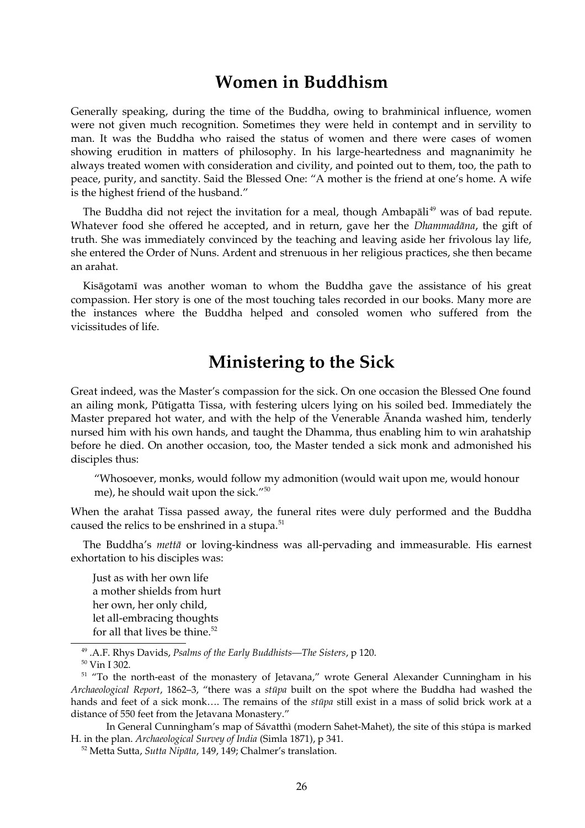#### <span id="page-25-1"></span>**Women in Buddhism**

Generally speaking, during the time of the Buddha, owing to brahminical influence, women were not given much recognition. Sometimes they were held in contempt and in servility to man. It was the Buddha who raised the status of women and there were cases of women showing erudition in matters of philosophy. In his large-heartedness and magnanimity he always treated women with consideration and civility, and pointed out to them, too, the path to peace, purity, and sanctity. Said the Blessed One: "A mother is the friend at one's home. A wife is the highest friend of the husband."

The Buddha did not reject the invitation for a meal, though Ambapāli<sup>[49](#page-25-2)</sup> was of bad repute. Whatever food she offered he accepted, and in return, gave her the *Dhammadāna*, the gift of truth. She was immediately convinced by the teaching and leaving aside her frivolous lay life, she entered the Order of Nuns. Ardent and strenuous in her religious practices, she then became an arahat.

Kisāgotamī was another woman to whom the Buddha gave the assistance of his great compassion. Her story is one of the most touching tales recorded in our books. Many more are the instances where the Buddha helped and consoled women who suffered from the vicissitudes of life.

#### <span id="page-25-0"></span>**Ministering to the Sick**

Great indeed, was the Master's compassion for the sick. On one occasion the Blessed One found an ailing monk, Pūtigatta Tissa, with festering ulcers lying on his soiled bed. Immediately the Master prepared hot water, and with the help of the Venerable Ānanda washed him, tenderly nursed him with his own hands, and taught the Dhamma, thus enabling him to win arahatship before he died. On another occasion, too, the Master tended a sick monk and admonished his disciples thus:

"Whosoever, monks, would follow my admonition (would wait upon me, would honour me), he should wait upon the sick."<sup>[50](#page-25-3)</sup>

When the arahat Tissa passed away, the funeral rites were duly performed and the Buddha caused the relics to be enshrined in a stupa.<sup>[51](#page-25-4)</sup>

The Buddha's *mettā* or loving-kindness was all-pervading and immeasurable. His earnest exhortation to his disciples was:

Just as with her own life a mother shields from hurt her own, her only child, let all-embracing thoughts for all that lives be thine.<sup>[52](#page-25-5)</sup>

<span id="page-25-2"></span><sup>49</sup> .A.F. Rhys Davids, *Psalms of the Early Buddhists—The Sisters*, p 120.

In General Cunningham's map of Sávatthì (modern Sahet-Mahet), the site of this stúpa is marked H. in the plan. *Archaeological Survey of India* (Simla 1871), p 341.

<span id="page-25-5"></span><sup>52</sup> Metta Sutta, *Sutta Nipāta*, 149, 149; Chalmer's translation.

<span id="page-25-4"></span><span id="page-25-3"></span><sup>50</sup> Vin I 302.

<sup>&</sup>lt;sup>51</sup> "To the north-east of the monastery of Jetavana," wrote General Alexander Cunningham in his *Archaeological Report*, 1862–3, "there was a *stūpa* built on the spot where the Buddha had washed the hands and feet of a sick monk…. The remains of the *stūpa* still exist in a mass of solid brick work at a distance of 550 feet from the Jetavana Monastery."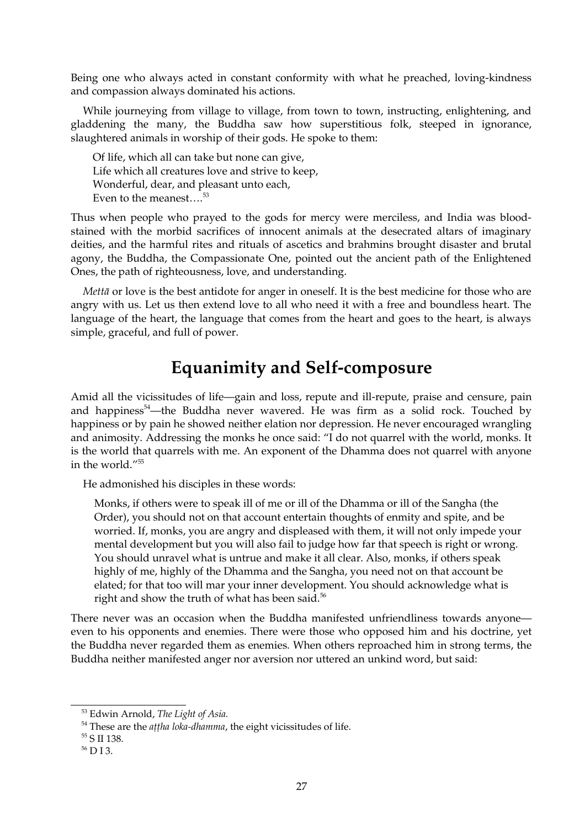Being one who always acted in constant conformity with what he preached, loving-kindness and compassion always dominated his actions.

While journeying from village to village, from town to town, instructing, enlightening, and gladdening the many, the Buddha saw how superstitious folk, steeped in ignorance, slaughtered animals in worship of their gods. He spoke to them:

Of life, which all can take but none can give, Life which all creatures love and strive to keep, Wonderful, dear, and pleasant unto each, Even to the meanest....<sup>[53](#page-26-1)</sup>

Thus when people who prayed to the gods for mercy were merciless, and India was bloodstained with the morbid sacrifices of innocent animals at the desecrated altars of imaginary deities, and the harmful rites and rituals of ascetics and brahmins brought disaster and brutal agony, the Buddha, the Compassionate One, pointed out the ancient path of the Enlightened Ones, the path of righteousness, love, and understanding.

*Mettā* or love is the best antidote for anger in oneself. It is the best medicine for those who are angry with us. Let us then extend love to all who need it with a free and boundless heart. The language of the heart, the language that comes from the heart and goes to the heart, is always simple, graceful, and full of power.

## <span id="page-26-0"></span>**Equanimity and Self-composure**

Amid all the vicissitudes of life—gain and loss, repute and ill-repute, praise and censure, pain and happiness $54$ —the Buddha never wavered. He was firm as a solid rock. Touched by happiness or by pain he showed neither elation nor depression. He never encouraged wrangling and animosity. Addressing the monks he once said: "I do not quarrel with the world, monks. It is the world that quarrels with me. An exponent of the Dhamma does not quarrel with anyone in the world."[55](#page-26-3)

He admonished his disciples in these words:

Monks, if others were to speak ill of me or ill of the Dhamma or ill of the Sangha (the Order), you should not on that account entertain thoughts of enmity and spite, and be worried. If, monks, you are angry and displeased with them, it will not only impede your mental development but you will also fail to judge how far that speech is right or wrong. You should unravel what is untrue and make it all clear. Also, monks, if others speak highly of me, highly of the Dhamma and the Sangha, you need not on that account be elated; for that too will mar your inner development. You should acknowledge what is right and show the truth of what has been said.<sup>[56](#page-26-4)</sup>

There never was an occasion when the Buddha manifested unfriendliness towards anyone even to his opponents and enemies. There were those who opposed him and his doctrine, yet the Buddha never regarded them as enemies. When others reproached him in strong terms, the Buddha neither manifested anger nor aversion nor uttered an unkind word, but said:

<span id="page-26-1"></span><sup>53</sup> Edwin Arnold, *The Light of Asia.* 

<span id="page-26-2"></span><sup>&</sup>lt;sup>54</sup> These are the *aṭṭha loka-dhamma*, the eight vicissitudes of life.

<span id="page-26-3"></span><sup>55</sup> S II 138.

<span id="page-26-4"></span> $56$  D I 3.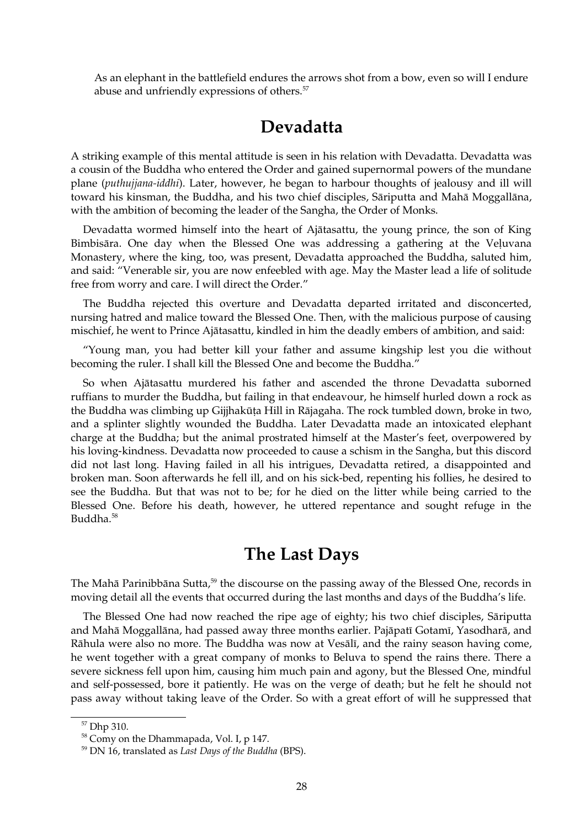As an elephant in the battlefield endures the arrows shot from a bow, even so will I endure abuse and unfriendly expressions of others.<sup>[57](#page-27-2)</sup>

#### <span id="page-27-1"></span>**Devadatta**

A striking example of this mental attitude is seen in his relation with Devadatta. Devadatta was a cousin of the Buddha who entered the Order and gained supernormal powers of the mundane plane (*puthujjana-iddhi*). Later, however, he began to harbour thoughts of jealousy and ill will toward his kinsman, the Buddha, and his two chief disciples, Sāriputta and Mahā Moggallāna, with the ambition of becoming the leader of the Sangha, the Order of Monks.

Devadatta wormed himself into the heart of Ajātasattu, the young prince, the son of King Bimbisāra. One day when the Blessed One was addressing a gathering at the Veḷuvana Monastery, where the king, too, was present, Devadatta approached the Buddha, saluted him, and said: "Venerable sir, you are now enfeebled with age. May the Master lead a life of solitude free from worry and care. I will direct the Order."

The Buddha rejected this overture and Devadatta departed irritated and disconcerted, nursing hatred and malice toward the Blessed One. Then, with the malicious purpose of causing mischief, he went to Prince Ajātasattu, kindled in him the deadly embers of ambition, and said:

"Young man, you had better kill your father and assume kingship lest you die without becoming the ruler. I shall kill the Blessed One and become the Buddha."

So when Ajātasattu murdered his father and ascended the throne Devadatta suborned ruffians to murder the Buddha, but failing in that endeavour, he himself hurled down a rock as the Buddha was climbing up Gijjhakūṭa Hill in Rājagaha. The rock tumbled down, broke in two, and a splinter slightly wounded the Buddha. Later Devadatta made an intoxicated elephant charge at the Buddha; but the animal prostrated himself at the Master's feet, overpowered by his loving-kindness. Devadatta now proceeded to cause a schism in the Sangha, but this discord did not last long. Having failed in all his intrigues, Devadatta retired, a disappointed and broken man. Soon afterwards he fell ill, and on his sick-bed, repenting his follies, he desired to see the Buddha. But that was not to be; for he died on the litter while being carried to the Blessed One. Before his death, however, he uttered repentance and sought refuge in the Buddha.<sup>[58](#page-27-3)</sup>

#### <span id="page-27-0"></span>**The Last Days**

The Mahā Parinibbāna Sutta,<sup>[59](#page-27-4)</sup> the discourse on the passing away of the Blessed One, records in moving detail all the events that occurred during the last months and days of the Buddha's life.

The Blessed One had now reached the ripe age of eighty; his two chief disciples, Sāriputta and Mahā Moggallāna, had passed away three months earlier. Pajāpatī Gotamī, Yasodharā, and Rāhula were also no more. The Buddha was now at Vesālī, and the rainy season having come, he went together with a great company of monks to Beluva to spend the rains there. There a severe sickness fell upon him, causing him much pain and agony, but the Blessed One, mindful and self-possessed, bore it patiently. He was on the verge of death; but he felt he should not pass away without taking leave of the Order. So with a great effort of will he suppressed that

<span id="page-27-2"></span><sup>57</sup> Dhp 310.

<span id="page-27-3"></span><sup>&</sup>lt;sup>58</sup> Comy on the Dhammapada, Vol. I, p 147.

<span id="page-27-4"></span><sup>59</sup> DN 16, translated as *Last Days of the Buddha* (BPS).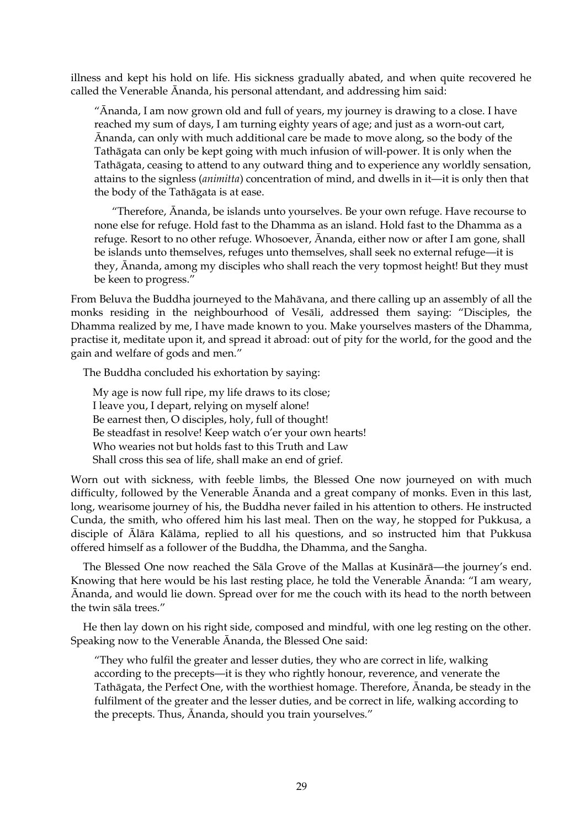illness and kept his hold on life. His sickness gradually abated, and when quite recovered he called the Venerable Ānanda, his personal attendant, and addressing him said:

"Ānanda, I am now grown old and full of years, my journey is drawing to a close. I have reached my sum of days, I am turning eighty years of age; and just as a worn-out cart, Ānanda, can only with much additional care be made to move along, so the body of the Tathāgata can only be kept going with much infusion of will-power. It is only when the Tathāgata, ceasing to attend to any outward thing and to experience any worldly sensation, attains to the signless (*animitta*) concentration of mind, and dwells in it—it is only then that the body of the Tathāgata is at ease.

"Therefore, Ānanda, be islands unto yourselves. Be your own refuge. Have recourse to none else for refuge. Hold fast to the Dhamma as an island. Hold fast to the Dhamma as a refuge. Resort to no other refuge. Whosoever, Ānanda, either now or after I am gone, shall be islands unto themselves, refuges unto themselves, shall seek no external refuge—it is they, Ānanda, among my disciples who shall reach the very topmost height! But they must be keen to progress."

From Beluva the Buddha journeyed to the Mahāvana, and there calling up an assembly of all the monks residing in the neighbourhood of Vesāli, addressed them saying: "Disciples, the Dhamma realized by me, I have made known to you. Make yourselves masters of the Dhamma, practise it, meditate upon it, and spread it abroad: out of pity for the world, for the good and the gain and welfare of gods and men."

The Buddha concluded his exhortation by saying:

My age is now full ripe, my life draws to its close; I leave you, I depart, relying on myself alone! Be earnest then, O disciples, holy, full of thought! Be steadfast in resolve! Keep watch o'er your own hearts! Who wearies not but holds fast to this Truth and Law Shall cross this sea of life, shall make an end of grief.

Worn out with sickness, with feeble limbs, the Blessed One now journeyed on with much difficulty, followed by the Venerable Ānanda and a great company of monks. Even in this last, long, wearisome journey of his, the Buddha never failed in his attention to others. He instructed Cunda, the smith, who offered him his last meal. Then on the way, he stopped for Pukkusa, a disciple of Ālāra Kālāma, replied to all his questions, and so instructed him that Pukkusa offered himself as a follower of the Buddha, the Dhamma, and the Sangha.

The Blessed One now reached the Sāla Grove of the Mallas at Kusinārā—the journey's end. Knowing that here would be his last resting place, he told the Venerable Ānanda: "I am weary, Ānanda, and would lie down. Spread over for me the couch with its head to the north between the twin sāla trees."

He then lay down on his right side, composed and mindful, with one leg resting on the other. Speaking now to the Venerable Ānanda, the Blessed One said:

"They who fulfil the greater and lesser duties, they who are correct in life, walking according to the precepts—it is they who rightly honour, reverence, and venerate the Tathāgata, the Perfect One, with the worthiest homage. Therefore, Ānanda, be steady in the fulfilment of the greater and the lesser duties, and be correct in life, walking according to the precepts. Thus, Ānanda, should you train yourselves."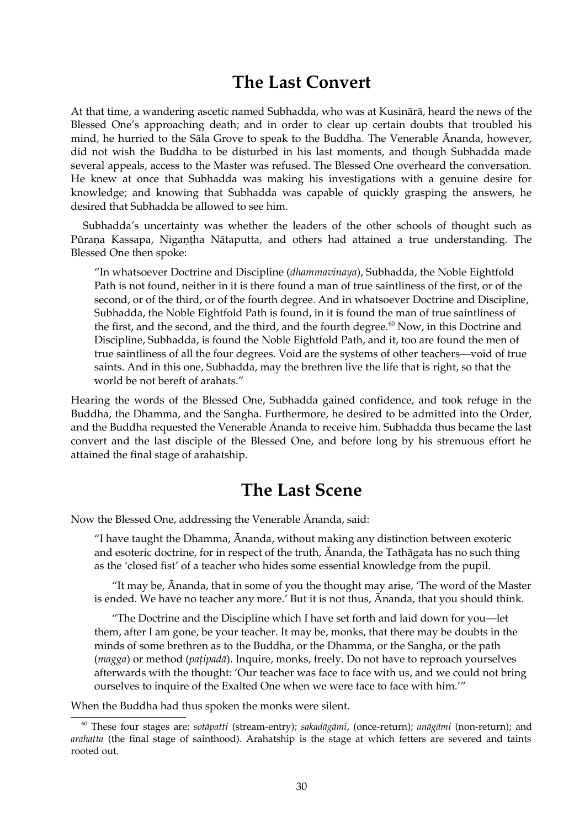#### <span id="page-29-1"></span>**The Last Convert**

At that time, a wandering ascetic named Subhadda, who was at Kusinārā, heard the news of the Blessed One's approaching death; and in order to clear up certain doubts that troubled his mind, he hurried to the Sāla Grove to speak to the Buddha. The Venerable Ānanda, however, did not wish the Buddha to be disturbed in his last moments, and though Subhadda made several appeals, access to the Master was refused. The Blessed One overheard the conversation. He knew at once that Subhadda was making his investigations with a genuine desire for knowledge; and knowing that Subhadda was capable of quickly grasping the answers, he desired that Subhadda be allowed to see him.

Subhadda's uncertainty was whether the leaders of the other schools of thought such as Pūrana Kassapa, Nigantha Nātaputta, and others had attained a true understanding. The Blessed One then spoke:

"In whatsoever Doctrine and Discipline (*dhammavinaya*), Subhadda, the Noble Eightfold Path is not found, neither in it is there found a man of true saintliness of the first, or of the second, or of the third, or of the fourth degree. And in whatsoever Doctrine and Discipline, Subhadda, the Noble Eightfold Path is found, in it is found the man of true saintliness of the first, and the second, and the third, and the fourth degree. $60$  Now, in this Doctrine and Discipline, Subhadda, is found the Noble Eightfold Path, and it, too are found the men of true saintliness of all the four degrees. Void are the systems of other teachers—void of true saints. And in this one, Subhadda, may the brethren live the life that is right, so that the world be not bereft of arahats."

Hearing the words of the Blessed One, Subhadda gained confidence, and took refuge in the Buddha, the Dhamma, and the Sangha. Furthermore, he desired to be admitted into the Order, and the Buddha requested the Venerable Ānanda to receive him. Subhadda thus became the last convert and the last disciple of the Blessed One, and before long by his strenuous effort he attained the final stage of arahatship.

#### <span id="page-29-0"></span>**The Last Scene**

Now the Blessed One, addressing the Venerable Ānanda, said:

"I have taught the Dhamma, Ānanda, without making any distinction between exoteric and esoteric doctrine, for in respect of the truth, Ānanda, the Tathāgata has no such thing as the 'closed fist' of a teacher who hides some essential knowledge from the pupil.

"It may be, Ānanda, that in some of you the thought may arise, 'The word of the Master is ended. We have no teacher any more.' But it is not thus, Ānanda, that you should think.

"The Doctrine and the Discipline which I have set forth and laid down for you—let them, after I am gone, be your teacher. It may be, monks, that there may be doubts in the minds of some brethren as to the Buddha, or the Dhamma, or the Sangha, or the path (*magga*) or method (*paṭipadā*). Inquire, monks, freely. Do not have to reproach yourselves afterwards with the thought: 'Our teacher was face to face with us, and we could not bring ourselves to inquire of the Exalted One when we were face to face with him.'"

When the Buddha had thus spoken the monks were silent.

<span id="page-29-2"></span><sup>60</sup> These four stages are: *sotāpatti* (stream-entry); *sakadāgāmi*, (once-return); *anāgāmi* (non-return); and *arahatta* (the final stage of sainthood). Arahatship is the stage at which fetters are severed and taints rooted out.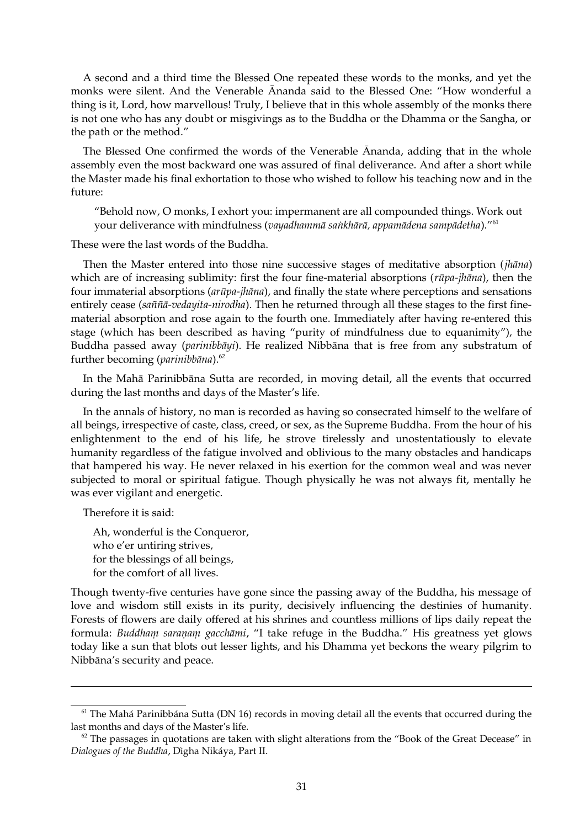A second and a third time the Blessed One repeated these words to the monks, and yet the monks were silent. And the Venerable Ānanda said to the Blessed One: "How wonderful a thing is it, Lord, how marvellous! Truly, I believe that in this whole assembly of the monks there is not one who has any doubt or misgivings as to the Buddha or the Dhamma or the Sangha, or the path or the method."

The Blessed One confirmed the words of the Venerable Ānanda, adding that in the whole assembly even the most backward one was assured of final deliverance. And after a short while the Master made his final exhortation to those who wished to follow his teaching now and in the future:

"Behold now, O monks, I exhort you: impermanent are all compounded things. Work out your deliverance with mindfulness (*vayadhammā saṅkhārā, appamādena sampādetha*)."[61](#page-30-0)

These were the last words of the Buddha.

Then the Master entered into those nine successive stages of meditative absorption (*jhāna*) which are of increasing sublimity: first the four fine-material absorptions (*rūpa-jhāna*), then the four immaterial absorptions (*arūpa-jhāna*), and finally the state where perceptions and sensations entirely cease (*saññā-vedayita-nirodha*). Then he returned through all these stages to the first finematerial absorption and rose again to the fourth one. Immediately after having re-entered this stage (which has been described as having "purity of mindfulness due to equanimity"), the Buddha passed away (*parinibbāyi*). He realized Nibbāna that is free from any substratum of further becoming (*parinibbāna*).[62](#page-30-1)

In the Mahā Parinibbāna Sutta are recorded, in moving detail, all the events that occurred during the last months and days of the Master's life.

In the annals of history, no man is recorded as having so consecrated himself to the welfare of all beings, irrespective of caste, class, creed, or sex, as the Supreme Buddha. From the hour of his enlightenment to the end of his life, he strove tirelessly and unostentatiously to elevate humanity regardless of the fatigue involved and oblivious to the many obstacles and handicaps that hampered his way. He never relaxed in his exertion for the common weal and was never subjected to moral or spiritual fatigue. Though physically he was not always fit, mentally he was ever vigilant and energetic.

Therefore it is said:

Ah, wonderful is the Conqueror, who e'er untiring strives, for the blessings of all beings, for the comfort of all lives.

Though twenty-five centuries have gone since the passing away of the Buddha, his message of love and wisdom still exists in its purity, decisively influencing the destinies of humanity. Forests of flowers are daily offered at his shrines and countless millions of lips daily repeat the formula: *Buddhaṃ saraṇaṃ gacchāmi*, "I take refuge in the Buddha." His greatness yet glows today like a sun that blots out lesser lights, and his Dhamma yet beckons the weary pilgrim to Nibbāna's security and peace.

<span id="page-30-0"></span> $61$  The Mahá Parinibbána Sutta (DN 16) records in moving detail all the events that occurred during the last months and days of the Master's life.

<span id="page-30-1"></span> $62$  The passages in quotations are taken with slight alterations from the "Book of the Great Decease" in *Dialogues of the Buddha*, Dìgha Nikáya, Part II.